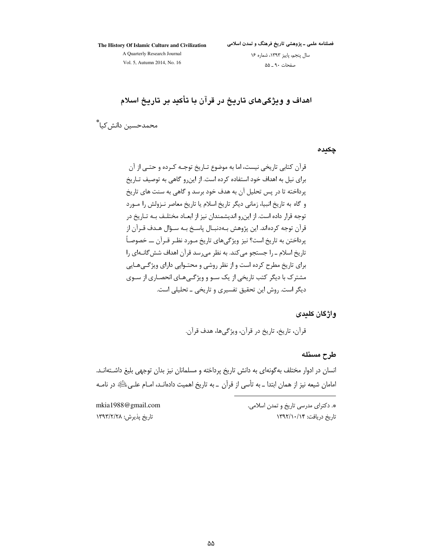The History Of Islamic Culture and Civilization

فصلنامه علمی ـ پژوهشی تاریخ فرهنگ و تمدن اسلامی

A Quarterly Research Journal Vol. 5, Autumn 2014, No. 16

سال پنجم، پاییز ١٣٩٣، شماره ١۶ صفحات ۹۰ ــ ۵۵

اهداف و ویژگیهای تاریخ در قرآن با تأکید بر تاریخ اسلام

محمدحسين دانش كيا ٌ

چکیدہ

واژگان كليدى

قرآن، تاريخ، تاريخ در قرآن، ويژگيها، هدف قرآن.

طرح مسئله

انسان در ادوار مختلف به گونهای به دانش تاریخ پرداخته و مسلمانان نیز بدان توجهی بلیغ داشـتهانـد. امامان شیعه نیز از همان ابتدا ـ به تأسی از قرآن ـ به تاریخ اهمیت دادهانـد، امــام علــیﷺ در نامــه

mkia1988@gmail.com تاریخ پذیرش: ۱۳۹۳/۲/۲۸

\*. دکترای مدرسی تاریخ و تمدن اسلامی. تاریخ دریافت: ۱۳۹۲/۱۰/۱۴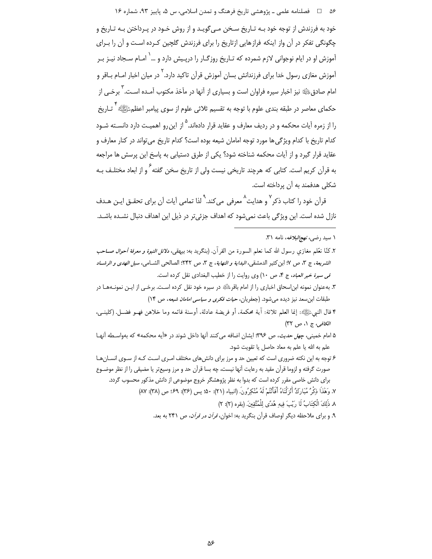۵۶ هـ المسلنامه علمي ـ پژوهشي تاريخ فرهنگ و تمدن اسلامي، س ۵، پاييز ۹۳، شماره ۱۶

.<br>خود به فرزندش از توجه خود بـه تـاري*خ* سـخن مـي *گ*ويـد و از روش خـود در پـرداختن بـه تـاريخ و چگونگی تفکر در آن واز اینکه فرازهایی ازتاریخ را برای فرزندش گلچین کرده است و آن را بـرای آموزش او در ایام نوجوانی لازم شمرده که تـاریخ روزگـار را دریـیش دارد و …<sup>\</sup> امـام سـجاد نیـز بـر آموزش مغازی رسول خدا برای فرزندانش بسان آموزش قرآن تاکید دارد. <sup>۲</sup> در میان اخبار امـام بـاقر و امام صادقﷺ نیز اخبار سیره فراوان است و بسیاری از آنها در مأخذ مکتوب آمـده اسـت. <sup>۳</sup> برخـی از حکمای معاصر در طبقه بندی علوم با توجه به تقسیم ثلاثی علوم از سوی پیامبر اعظمﷺ \* تـاریخ را از زمره آیات محکمه و در ردیف معارف و عقاید قرار دادهاند. <sup>۱۵</sup> این رو اهمیـت دارد دانســته شـود كدام تاريخ با كدام ويژگي ها مورد توجه امامان شيعه بوده است؟ كدام تاريخ مي تواند در كنار معارف و عقاید قرار گیرد و از آیات محکمه شناخته شود؟ یکی از طرق دستیابی به پاسخ این پرسش ها مراجعه به قرآن کریم است. کتابی که هرچند تاریخی نیست ولی از تاریخ سخن گفته <sup>۶</sup> و از ابعاد مختلـف بـه شکلی هدفمند به آن پرداخته است.

قرآن خود را کتاب ذکر<sup>۷</sup> و هدایت<sup>^</sup> معرفی میکند.<sup>۹</sup> لذا تمامی آیات آن برای تحقـق ایـن هـدف نازل شده است. این ویژگی باعث نمیشود که اهداف جزئی تر در ذیل این اهداف دنبال نشـده باشـد.

۱ سید رض*ی، نهج البلاغه*، نامه ۳۱.

- ۵ امام خمینی، *چهل حدیث*، ص ۳۹۶: ایشان اضافه می کنند آنها داخل شوند در «آیه محکمه» که بهواسـطه آنهـا علم به الله يا علم به معاد حاصل يا تقويت شود.
- ۶ توجه به این نکته ضروری است که تعیین حد و مرز برای دانش های مختلف امـری اسـت کـه از سـوی انســان هـا صورت گرفته و لزوما قرآن مقید به رعایت آنها نیست، چه بسا قرآن حد و مرز وسیعتر یا مضیقی را از نظر موضـوع برای دانش خاصی مقرر کرده است که بدوا به نظر پژوهشگر خروج موضوعی از دانش مذکور محسوب گردد.

٧. وَهَٰذَا ذِكْرٌ مُبَارَكٌ أَنْزَلْنَاهُ أَفَأَنْتُمْ لَهُ مُنْكِرُونَ. (انبياء (٢١): ۵٠، يس (٣۶): ٢٩؛ ص (٣٨): ٨٧)

- ٨. ذَلِكَ الْكِتَابُ لَا رَيْبَ فِيهِ هُدًى لِلْمُتَّقِينَ. (بقره (٢): ٢)
- ۹. و برای ملاحظه دیگر اوصاف قرآن بنگرید به: اخوان، *قرآن در قرآن*، ص ۲۴۱ به بعد.

٢. كنّا نعّلم مغازي رسول الله كما نعلم السورة من القر آن. (بنگريد به: بيهقي، *دلائل النبوة و معرفة أحوال صــاحب* الشريعة، ج ٣، ص ٧: ابن كثير الدمشقي، *البداية و النهاية*، ج ٣، ص ٢۴٢: الصالحي الشـامي، *سبل الهدي و الرشـاد* قى سيرة خير العباد، ج ۴، ص ١٠) وى روايت را از خطيب البغدادى نقل كرده است.

۳. به عنوان نمونه ابن|سحاق اخباري را از امام باقر ﷺ در سیره خود نقل کرده اسـت. برخـي از ايـن نمونـههـا در طبقات ابن سعد نیز دیده می شود. (جعفریان، *حیات فکری و سیاسی امامان شیعه*، ص ۱۴)

۴ قال النبيﷺ: إنما العلم ثلاثة: آية محكمة، أو فريضة عادلة، أوسنة قائمه وما خلاهن فهـو فضـل. (كلينـي، الكافى، ج ١، ص ٣٢)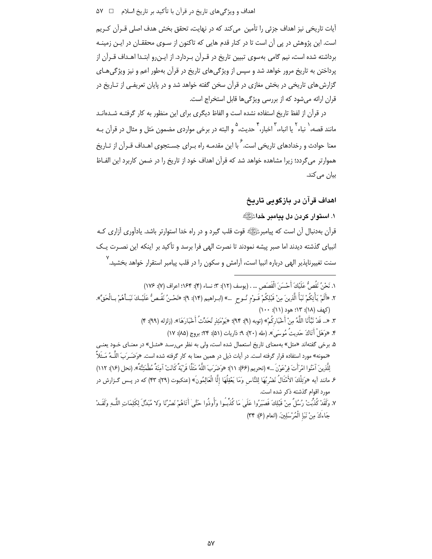آيات تاريخي نيز اهداف جزئي را تأمين. مي كند كه در نهايت، تحقق بخش هدف اصلي قـرآن كـريم است. این پژوهش در پی آن است تا در کنار قدم هایی که تاکنون از سـوی محققـان در ایـن زمینـه برداشته شده است، نیم گامی بهسوی تبیین تاریخ در قـرآن بـردارد. از ایـن٫رو ابتـدا اهـداف قـرآن از پرداختن به تاریخ مرور خواهد شد و سپس از ویژگی های تاریخ در قرآن بهطور اعم و نیز ویژگی هـای گزارش های تاریخی در بخش مغازی در قرآن سخن گفته خواهد شد و در پایان تعریفـی از تــاریخ در قران ارائه می شود که از بررسی ویژگی ها قابل استخراج است.

در قرآن از لفظ تاریخ استفاده نشده است و الفاظ دیگری برای این منظور به کار گرفتـه شــدهانــد مانند قصه، ` نباء ` یا انباء، ّ اخبار، <sup>۴</sup> حدیث، ° و البته در برخی مواردی مضمون مَثل و مثال در قرآن بـه .<br>معنا حوادث و رخدادهای تاریخی است. <sup>۶</sup> با این مقدمـه راه بـرای جسـتجوی اهـداف قـرآن از تـاریخ هموارتر می گردد؛ زیرا مشاهده خواهد شد که قرآن اهداف خود از تاریخ را در ضمن کاربرد این الفـاظ بیان میکند.

# اهداف قرآن در بازگویی تاریخ

١. استوار كردن دل يدامبر خداءًﷺ

قرآن بهدنبال آن است که پیامبر ﷺ قوت قلب گیرد و در راه خدا استوارتر باشد. یادآوری آزاری کـه انبیای گذشته دیدند اما صبر پیشه نمودند تا نصرت الهی فرا برسد و تأکید بر اینکه این نصـرت یـک سنت تغییرناپذیر الهی درباره انبیا است، آرامش و سکون را در قلب پیامبر استقرار خواهد بخشید.<sup>۷</sup>

- ١. نَحْنُ نَقُصٌ عَلَيْكَ أَحْسَنَ الْقَصَص ... . (يوسف (١٢): ٣: نساء (۴): ١٤۴: اعراف (٧): ١٧۶) ٢. «أَلَمْ يَأْتِكُمْ نَبَأُ الَّذِينَ مِنْ قَبْلِكُمْ قَـوْم نُـوح …» (ابـراهيم (١٢): ٩)؛ «نَحْـنُ نَقُـصٌّ عَلَيْـكَ نَبَـأَهُمْ بـالْحَقِّ». (کهف (۱۸): ۱۳؛ هود (۱۱): ۱۰۰) ٣. «... قَدْ نَبَّأَنَا اللَّهُ مِنْ أَخْبَارِكُمْ» (توبه (٩): ٩۴)؛ «يَوْمَئذ تُحَدِّثُ أَخْبَارَهَا». (زلزله (٩٩): ۴) ۴. «وَهَلْ أَتَاكَ حَديثُ مُوسَىٰ». (طه (۲۰): ۹؛ ذاريات (۵۱): ۲۴؛ بروج (۸۵): ۱۷) ۵. برخی گفتهاند «مثل» بهمعنای تاریخ استعمال شده است، ولی به نظر میرسـد «مثـل» در معنـای خـود یعنـی «نمونه» مورد استفاده قرار گرفته است. در آیات ذیل در همین معنا به کار گرفته شده است. «وَضَـرَبَ اللّــهُ مَـثَلاً لِلَّذِينَ آمَنُوا امْرَأَتَ فِرْعَوْنَ …» (تحريم (۶۶): ۱۱)؛ «وَضَرَبَ اللَّهُ مَثَلًا قَرْيَةً كَانَتْ آمِنَةً مُطْمَئِنَّةً». (نحل (۱۶): ۱۱۲) ع مانند آيه «وَتِلْكَ الأَمْثَالُ نَضْرِبُهَا لِلنَّاسِ وَمَا يَعْقِلُهَا إِلَّا الْعَالِمُونَ» (عنكبوت (٢٩): ۴٣) كه در پــس گــزارش در مورد اقوام گذشته ذکر شده است. ٧. وَلَقَدْ كُذِّبِّتْ رُسُلٌ مِنْ قَبْلِكَ فَصَبَرُوا عَلَىٰ مَا كُذِّبُوا وَأُوذُوا حَتَّىٰ أَتَاهُمْ نَصْرُنَا وَلا مُبَدِّلَ لِكَلِمَاتِ اللَّـهِ وَلَقَــدْ
	- جَاءَكَ مِنْ نَبَإِ الْمُرْسَلِينَ. (انعام (٤): ٣۴)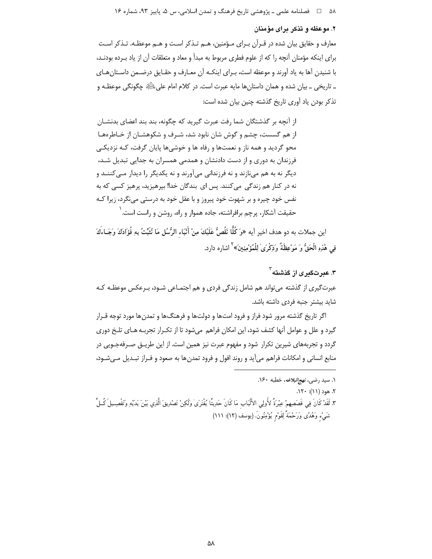۵۸٪ هـ المحصلنامه علمي ـ پژوهشي تاريخ فرهنگ و تمدن اسلامي، س ۵، پاييز ۹۳، شماره ۱۶

# ۲. موعظه و تذکر برای مؤمنان

معارف و حقایق بیان شده در قـرآن بـرای مـؤمنین، هـم تـذکر اسـت و هـم موعظـه. تـذکر اسـت برای اینکه مؤمنان آنچه را که از علوم فطری مربوط به مبدأ و معاد و متعلقات آن از یاد بـرده بودنـد، با شنیدن آها به یاد آورند و موعظه است، بـرای اینکـه آن معـارف و حقـایق درضـمن داسـتان هـای ۔ تاریخی ۔ بیان شدہ و همان داستان ها مایه عبرت است. در کلام امام علی ﷺ چگونگی موعظـه و تذكر بودن ياد آوري تاريخ گذشته چنين بيان شده است:

از آنچه بر گذشتگان شما رفت عبرت گیرید که چگونه، بند بند اعضای بدنشـان از هم گسست، چشم و گوش شان نابود شد، شـرف و شکوهشـان از خـاطرههـا محو گردید و همه ناز و نعمتها و رفاه ها و خوشیها پایان گرفت، کـه نزدیکـی فرزندان به دوری و از دست دادنشان و همدمی همسران به جدایی تبدیل شـد، دیگر نه به هم مینازند و نه فرزندانی میآورند و نه یکدیگر را دیدار مــ ،کننــد و نه در کنار هم زندگی میکنند. پس ای بندگان خدا! بپرهیزید، پرهیز کسی که به نفس خود چیره و بر شهوت خود پیروز و با عقل خود به درستی می،نگرد، زیرا کـه حقیقت آشکار، پرچم برافراشته، جاده هموار و راه، روشن و راست است. ٰ

اين جملات به دو هدف اخير آيه «وَ كُلًّا نَقُصُّ عَلَيْكَ مِنْ أَنْبَاء الرُّسُلِ مَا نُثَبِّتُ بِهِ فُؤَادَكَ وَجَـاءكَ فِي هَٰذِهِ الْحَقُّ وَ مَوْعِظَةٌ وَذِكْرَىٰ لِلْمُؤْمِنِينَ» `` اشاره دارد.

۳. عبرتگىرى از گذشته <sup>۲</sup> عبرتڰیری از گذشته می تواند هم شامل زندگی فردی و هم اجتمـاعی شـود، پـرعکس موعظـه کـه شايد بيشتر جنبه فردى داشته باشد.

اگر تاریخ گذشته مرور شود فراز و فرود امتها و دولتها و فرهنگها و تمدنها مورد توجه قـرار گیرد و علل و عوامل آنها کشف شود، این امکان فراهم میشود تا از تکـرار تجربـه هـای تلـخ دوری گردد و تجربههای شیرین تکرار شود و مفهوم عبرت نیز همین است. از این طریـق صـرفهجـویی در منابع انسانی و امکانات فراهم می∫ید و روند افول و فرود تمدنها به صعود و فـراز تبـدیل مـیشـود،

۱. سيد رضي، *نهج البلاغه*، خطبه ۱۶۰. ۲. هود (۱۱): ۱۲۰. ٣. لَقَدْ كَانَ فِي قَصَصِهِمْ عِبْرَةً لأُولِي الأَلْبَابِ مَا كَانَ حَدِيثًا يُفْتَرَىٰ وَلَكِنْ تَصْدِيقَ الَّذِي بَيْنَ يَدَيْهِ وَتَفْصِـيلَ كُـلٍّ شَيْء وَهُدًى وَرَحْمَةً لِقَوْم يُؤْمِنُونَ. (يوسف (١٢): ١١١)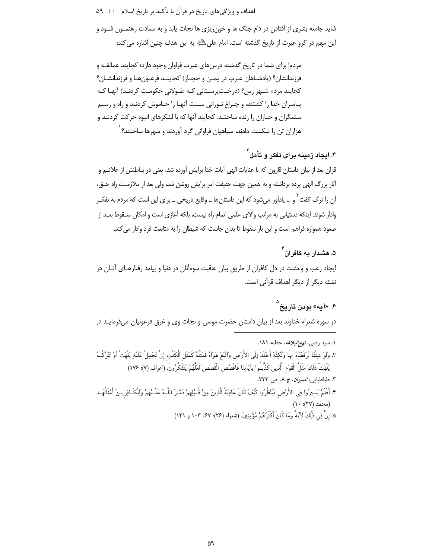اهداف و ویژگیهای تاریخ در قرآن با تأکید بر تاریخ اسلام ⊥ ∆۹

شاید جامعه بشری از افتادن در دام جنگ ها و خون٫یزی ها نجات یابد و به سعادت رهنمـون شـود و این مهم در گرو عبرت از تاریخ گذشته است. امام علی اللَّهِ به این هدف چنین اشاره می کند:

مردم! برای شما در تاریخ گذشته درسهای عبرت فراوان وجود دارد؛ کجایند عمالقــه و فرزندانشان؟ (پادشـاهان عـرب در يمـن و حجـاز) كجاينـد فرعـونهـا و فرزندانشـان؟ کجایند مردم شـهر رس؟ (درخـتپرسـتانی کـه طـولانی حکومـت کردنـد) آنهـا کـه پیامبران خدا را کشتند، و چـراغ نـورانی سـنت آنهـا را خـاموش کردنـد و راه و رسـم ستمگران و جباران را زنده ساختند. کجایند آنها که با لشکرهای انبوه حرکت کردنـد و هزاران تن را شکست دادند، سیاهیان فراوانی گرد آوردند و شهرها ساختند؟ ٰ

۴. ایجاد زمینه برای تفکر و تأمل<sup>۲</sup>

قرآن بعد از بیان داستان قارون که با عنایات الهی آیات خدا برایش آورده شد، یعنی در بـاطنش از علائـم و آثار بزرگ الهی پرده برداشته و به همین جهت حقیقت امر برایش روشن شد، ولی بعد از ملازمـت راه حــق، آن را ترک گفت ؑ و … پادآور می شود که این داستان ها ــ وقایع تاریخی ــ برای این است که مردم به تفک ِ .<br>وادار شوند. اینکه دستیابی به مراتب والای علمی اتمام راه نیست، بلکه آغازی است و امکان سـقوط ب*عـ*د از صعود همواره فراهم است و این بار سقوط تا بدان جاست که شیطان را به متابعت فرد وادار می کند.

۵. هشدار به کافران<sup>۴</sup> ایجاد رعب و وحشت در دل کافران از طریق بیان عاقبت سوءآنان در دنیا و پیامد رفتارهـای آنــان در نشئه دیگر از دیگر اهداف قرآنی است.

# ۶. «آمه» مودن تاریخ <sup>۵</sup>

در سوره شعراء خداوند بعد از بیان داستان حضرت موسی و نجات وی و غرق فرعونیان میفرمایـد در

- ١. سيد رضي، *نهج البلاغه*، خطبه ١٨١. ٢. وَلَوْ شِئْنَا لَرَفَعْنَاهُ بِهَا وَلَكِنَّهُ أَخْلَدَ إِلَى الأَرْضِ وَاتَّبَعَ هَوَاهُ فَمَثَلُهُ كَمَثَل الْكَلْبِ إِنْ تَحْمِلْ عَلَيْهِ يَلْهَتْ أَوْ تَتْرُكْـهُ يَلْهَتْ ذَٰلِكَ مَثَلُ الْقَوْمِ الَّذِينَ كَذَّبُوا بآيَاتِنَا فَاقْصُص الْقَصَصَ لَعَلَّهُمْ يَتَفَكَّرُونَ. (اعراف (٧): ١٧۶) ٣. طباطبايي، *الميزان*، ج ٨، ص ٣٣٣. ۴. أَفَلَمْ يَسيرُوا فِي الأَرْضِ فَيَنْظُرُوا كَيْفَ كَانَ عَاقِبَةُ الَّذِينَ مِنْ قَـبْلِهِمْ دَمَّـرَ اللَّـهُ عَلَـيْهِمْ وَلِلْكَـافِرِيـنَ أَمْثَالُهَـا.  $(1 \cdot | (YY) \cdot \mathcal{L})$ (محمد
	- ۵. إِنَّ فِي ذَٰلِكَ لآيَةً وَمَا كَانَ أَكْثَرُهُمْ مُؤْمِنِينَ. (شعراء (۲۶): ۶۷، ۱۰۳ و ۱۲۱)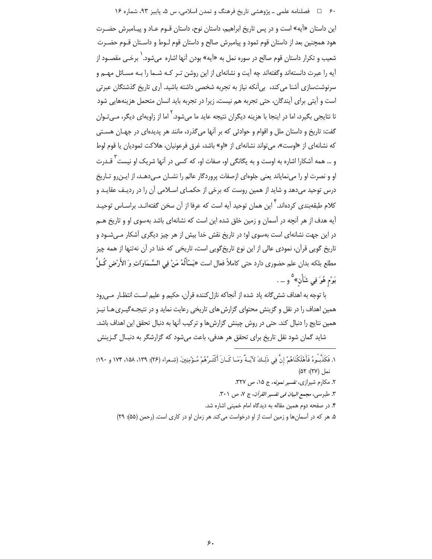۶۰ □ فصلنامه علمي ـ پژوهشي تاريخ فرهنگ و تمدن اسلامي، س ۵، پاييز ۹۳، شماره ۱۶

این داستان «آیه» است و در پس تاریخ ابراهیم، داستان نوح، داستان قـوم عـاد و پیـامبرش حضـرت هود همچنین بعد از داستان قوم ثمود و پیامبرش صالح و داستان قوم لـوط و داسـتان قـوم حضـرت شعيب و تكرار داستان قوم صالح در سوره نمل به «آيه» بودن آنها اشاره ميشود. ٰ برخـي مقصـود از آیه را عبرت دانستهاند وگفتهاند چه آیت و نشانهای از این روشن تـر کـه شـما را بـه مسـائل مهـم و سرنوشتسازی آشنا می کند، بی آنکه نیاز به تجربه شخصی داشته باشید. آری تاریخ گذشتگان عبرتی است و آیتی برای آیندگان، حتی تجربه هم نیست، زیرا در تجربه باید انسان متحمل هزینههایی شود تا نتایجی بگیرد، اما در اینجا با هزینه دیگران نتیجه عاید ما میشود.<sup>۲</sup> اما از زاویهای دیگر، *مـی ت*ـوان گفت: تاریخ و داستان ملل و اقوام و حوادثی که بر آنها میگذرد، مانند هر پدیدهای در جهـان هسـتی كه نشانهاى از «اوست»، مى تواند نشانهاى از «او» باشد، غرق فرعونيان، هلاكت ثموديان يا قوم لوط و … همه آشکارا اشاره به اوست و به یگانگی او، صفات او، که کسی در آنها شریک او نیست<sup>۳</sup> قـدرت او و نصرت او را مینمایاند یعنی جلوهای ازصفات پروردگار عالم را نشـان مـی۵هـد، از ایـن٫رو تـاریخ درس توحید میدهد و شاید از همین روست که برخی از حکمـای اسـلامی آن را در ردیـف عقایـد و کلام طبقهبندی کردهاند.<sup>۴</sup> این همان توحید آیه است که عرفا از آن سخن گفتهانـد. براسـاس توحیـد آیه هدف از هر آنچه در آسمان و زمین خلق شده این است که نشانهای باشد بهسوی او و تاریخ هــم در این جهت نشانهای است بهسوی او؛ در تاریخ نقش خدا بیش از هر چیز دیگری آشکار مـی شـود و تاریخ گویی قرآن، نمودی عالی از این نوع تاریخگویی است، تاریخی که خدا در آن نهتنها از همه چیز مطلع بلكه بدان علم حضورى دارد حتى كاملاً فعال است «يَسْأَلُهُ مَنْ فِي السَّـمَاواتِ وَ الأَرْضِ كُـلَّ يَوْم هُوَ فِي شَأْن» <sup>۵</sup>و … .

با توجه به اهداف شش گانه یاد شده از آنجاکه نازل کننده قرآن، حکیم و علیم است انتظـار مـیرود همین اهداف را در نقل و گزینش محتوای گزارش های تاریخی رعایت نماید و در نتیجـهگیـری هـا نیـز همین نتایج را دنبال کند. حتی در روش چینش گزارش ها و ترکیب آنها به دنبال تحقق این اهداف باشد. شاید گمان شود نقل تاریخ برای تحقق هر هدفی، باعث میشود که گزارشگر به دنبـال گـزینش

- ١. فَكَذَّبُوهُ فَأَهْلَكْنَاهُمْ إِنَّ فِي ذَلِكَ لآيَـةً وَمَـا كَـانَ أَكْثَـرُهُمْ مُـؤْمِنِينَ. (شعراء (٢۶): ١٣٩، ١٨٨، ١٧۴ و ١٩٠: نما, (٢٧): ۵۲)
	- ۲. مکارم شیرازی، تفسیر نم*ونه*، ج ۱۵، ص ۳۲۷. ٣. طبرسي، مجمع البيان في تفسير القرآن، ج ٧، ص ٣٠١. ۴. در صفحه دوم همین مقاله به دیدگاه امام خمینی اشاره شد.
	- ۵. هر که در آسمان ها و زمین است از او درخواست می کند هر زمان او در کاری است. (رحمن (۵۵): ۲۹)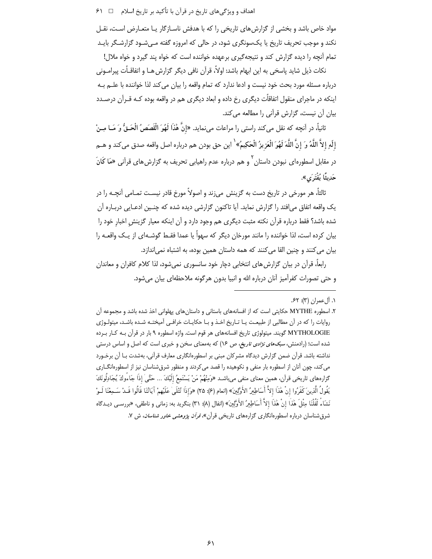مواد خاص باشد و بخشی از گزارش های تاریخی را که با هدفش ناسـازگار یـا متعـارض اسـت، نقـل نکند و موجب تحریف تاریخ یا یکسونگری شود، در حالی که امروزه گفته مـیشـود گزارشـگر بایـد تمام آنچه را دیده گزارش کند و نتیجهگیری برعهده خواننده است که خواه پند گیرد و خواه ملال!

نكات ذيل شايد پاسخي به اين ابهام باشد: اولاً، قرآن نافي ديگر گزارش هـا و اتفاقـاًت پيرامـوني درباره مسئله مورد بحث خود نيست و ادعا ندارد كه تمام واقعه را بيان مي كند لذا خواننده با علــم بــه اینکه در ماجرای منقول اتفاقاًت دیگری رخ داده و ابعاد دیگری هم در واقعه بوده کـه قـرآن درصـدد بیان آن نیست، گزارش قرآنی را مطالعه می کند.

ثانياً، در اَنچه که نقل میکند راستی را مراعات میiماید. «إنَّ هٔذا لَهُوَ الْقَصَصُ الْحَـقُّ وَ مَــا مِــنْ إِلَهٍ إِلاَّ اللَّهُ وَ إِنَّ اللَّهَ لَهُوَ الْعَزِيزُ الْحَكِيمُ» ۢ اين حق بودن هم درباره اصل واقعه صدق ميكند و هــم در مقابل اسطورهای نبودن داستان<sup>۲</sup> و هم درباره عدم راهیابی تحریف به گزارش های قرآنی «مَا کَانَ حَديثًا يُفْتَرَى».

ثالثاً، هر مورخی در تاریخ دست به گزینش میزند و اصولاً مورخ قادر نیسـت تمـامی آنچـه را در یک واقعه اتفاق می|فتد را گزارش نماید. آیا تاکنون گزارشی دیده شده که چنـین ادعـایی دربـاره آن شده باشد؟ فقط درباره قرآن نكته مثبت ديگرى هم وجود دارد و آن اينكه معيار گزينش اخبار خود را بیان کرده است، لذا خواننده را مانند مورخان دیگر که سهواً یا عمدا فقـط گوشـهای از یـک واقعـه را بيان مي كنند و چنين القا مي كنند كه همه داستان همين بوده، به اشتباه نمي اندازد.

رابعاً، قرآن در بیان گزارش های انتخابی دچار خود سانسوری نمیشود، لذا کلام کافران و معاندان و حتى تصورات كفرآميز آنان درباره الله و انبيا بدون هرگونه ملاحظهاى بيان مى شود.

١. أل عمران (٣): ۶۲.

۲. اسطوره MYTHE حکایتی است که از افسانههای باستانی و داستانهای پهلوانی اخذ شده باشد و مجموعه آن روایات را که در آن مطالبی از طبیعت یـا تـاریخ اخـذ و بـا حکایـات خرافـی آمیختـه شـده باشـد، میتولـوژی MYTHOLOGIE گویند. میتولوژی تاریخ افسانههای هر قوم است. واژه اسطوره ۹ بار در قرآن بـه کـار بـرده شده است؛ (رادمنش، *سبکهای نژادی تاریخ، ص ۱*۶) که بهمعنای سخن و خبری است که اصل و اساس درستی نداشته باشد. قرآن ضمن گزارش دیدگاه مشرکان مبنی بر اسطورهانگاری معارف قرآنی، بهشدت بـا آن برخـورد می کند، چون آنان از اسطوره بار منفی و نکوهیده را قصد می کردند و منظور شرق شناسان نیز از اسطورهانگــاری گزارههای تاریخی قرأن، همین معنای منفی می<sub>ا</sub>باشـد «وَمِنْهُمْ مَنْ يَسْتَمِعُ إلَيْكَ … حَتَّىٰ إذَا جَاءُوكَ يُجَادِلُونَكَ يَقُولُ الَّذِينَ كَفَرُوا إِنْ هَٰذَا إِلاَّ أَسَاطِيرُ الأُوَّلِينَ» (انعام (۶): ۲۵) «وَإِذَا تُتْلَىٰ عَلَيْهِمْ آيَاتُنَا قَالُوا قَـدْ سَـمِعْنَا لَـوْ نَشَاءُ لَقُلْنَا مِثْلَ هَٰذَا إِنْ هَٰذَا إِلاَّ أَسَاطِيرُ الأَوَّلِينَ» (انفال (٨): ٣١) بنگريد به: زماني و ناطقي، «بررسـي ديـدگاه شرق شناسان درباره اسطورهانگاری گزارههای تاریخی قرآن»، *قرآن پژوهشی خاور شناسان*، ش ۷.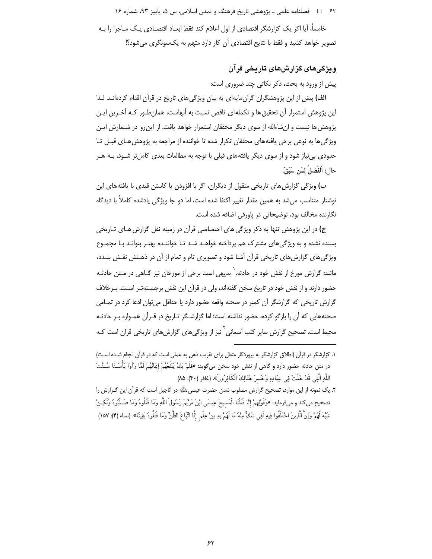۶۲ = فصلنامه علمی ـ پژوهشی تاریخ فرهنگ و تمدن اسلامی، س ۵، پاییز ۹۳، شماره ۱۶

خامساً، آیا اگر یک گزارشگر اقتصادی از اول اعلام کند فقط ابعـاد اقتصـادی یـک مـاجرا را بـه تصویر خواهد کشید و فقط با نتایج اقتصادی آن کار دارد متهم به یکسونگری میشود؟!

# وپڻ گي هاي گزارش هاي تاريخي قرآن

پیش از ورود به بحث، ذکر نکاتی چند ضروری است:

الف) پیش از این پژوهشگران گران،مایهای به بیان ویژگی های تاریخ در قرآن اقدام کردهانـد لـذا این پژوهش استمرار آن تحقیق ها و تکملهای ناقص نسبت به آنهاست، همان طـور کـه آخـرین ایـن پژوهش ها نیست و ان شاءالله از سوی دیگر محققان استمرار خواهد یافت. از این رو در شـمارش ایـن ویژگی ها به نوعی برخی یافتههای محققان تکرار شده تا خواننده از مراجعه به پژوهش هـای قبـل تـا حدودی بی نیاز شود و از سوی دیگر یافته های قبلی با توجه به مطالعات بعدی کامل تر شـود، بــه هــر حال: اَلفَضلُ لِمَن سَبَقَ.

ب) ویژگی گزارش های تاریخی منقول از دیگران، اگر با افزودن یا کاستن قیدی با یافته های این نوشتار متناسب می شد به همین مقدار تغییر اکتفا شده است، اما دو جا ویژگی یادشده کاملاً با دیدگاه نگارنده مخالف بود، توضیحاتی در یاورقی اضافه شده است.

ج) در این پژوهش تنها به ذکر ویژگی های اختصاصی قرآن در زمینه نقل گزارش هـای تـاریخی بسنده نشده و به ویژگی های مشترک هم پرداخته خواهـد شـد تـا خواننـده بهتـر بتوانـد بـا مجمـوع ویژگیهای گزارشهای تاریخی قرآن آشنا شود و تصویری تام و تمام از آن در ذهـنش نقـش بنـدد، مانند: گزارش مورخ از نقش خود در حادثه. ` بدیهی است برخی از مورخان نیز گــاهی در مــتن حادثــه حضور دارند و از نقش خود در تاریخ سخن گفتهاند، ولی در قرآن این نقش برجسـتهتـر اسـت. بـرخلاف گزارش تاریخی که گزارشگر آن کمتر در صحنه واقعه حضور دارد یا حداقل میتوان ادعا کرد در تمـامی صحنههایی که آن را بازگو کرده، حضور نداشته است؛ اما گزارشـگر تـاریخ در قـرآن همـواره بـر حادثـه محیط است. تصحیح گزارش سایر کتب آسمانی<sup>۲</sup> نیز از ویژگی های گزارش های تاریخی قرآن است کـه

١. گزارشگر در قرآن (اطلاق گزارشگر به پروردگار متعال برای تقریب ذهن به عملی است که در قرآن انجام شـده اسـت) در متن حادثه حضور دارد و گاهي از نقش خود سخن مي¢ويد: «فَلَمْ يَكُ يَنْفَعُهُمْ إِيَانُهُمْ لَمَّا رَأَوْا بَأْسَـنَا سُـنَّتَ اللَّهِ الَّتِي قَدْ خَلَتْ فِي عِبَادِهِ وَخَسرَ هُنَالِكَ الْكَافِرُونَ». (غافر (۴۰): ۸۵)

٢. يک نمونه از اين موارد، تصحيح گزارش مصلوب شدن حضرت عيسى اللهِ در اناجيل است كه قرآن اين گـزارش را تصحيح مي كند و ميفومايد: «وَقَوْلِهمْ إِنَّا قَتَلْنَا الْمَسيحَ عِيسَى ابْنَ مَرْيَمَ رَسُولَ اللَّهِ وَمَا قَتُلُوهُ وَمَا صَـلَبُوهُ وَلَكِـنْ شُبِّهَ لَهُمْ وَإِنَّ الَّذِينَ اخْتَلَفُوا فِيهِ لَفِي شَكٍّ مِنْهُ مَا لَهُمْ بِهِ مِنْ عِلْمِ إِلَّا اتِّبَاعَ الظَّنِّ وَمَا قَتَلُوهُ يَقِينًا». (نساء (۴): ١۵٧)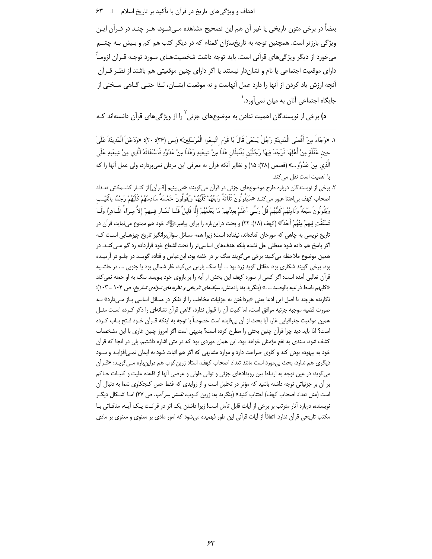بعضاً در برخی متون تاریخی یا غیر آن هم این تصحیح مشاهده مـیشـود، هـر چنـد در قــراَن ایـن ویژگی بارزتر است. همچنین توجه به تاریخسازان گمنام که در دیگر کتب هم کم و بـیش بـه چشــم می خورد از دیگر ویژگی های قرآنی است. باید توجه داشت شخصیتهـای مـورد توجـه قـرآن لزومـاً دارای موقعیت اجتماعی یا نام و نشان دار نیستند یا اگر دارای چنین موقعیتی هم باشند از نظـر قـرآن آنچه ارزش ياد كردن از آنها را دارد عمل آنهاست و نه موقعيت ايشــان، لـذا حتــي گــاهي سـخني از جایگاه اجتماعی آنان به میان نمی آورد.<sup>\</sup>

**د)** برخی از نویسندگان اهمیت ندادن به موضوعهای جزئی<sup>۲</sup> را از ویژگیهای قرآن دانستهاند کـه

- ١. «وَجَاءَ مِنْ أَقْصَى الْمَدِينَةِ رَجُلٌ يَسْعَىٰ قَالَ يَا قَوْمِ اتَّبِعُوا الْمُرْسَلِينَ» (يس (٣۶): ٢٠)؛ «وَدَخَلَ الْمَدِينَةَ عَلَىٰ حِين غَفْلَةِ مِنْ أَهْلِهَا فَوَجَدَ فِيهَا رَجُلَيْن يَقْتَتِلَان هَٰذَا مِنْ شِيعَتِهِ وَهَٰذَا مِنْ عَدُوَّهِ فَاسْتَغَاثَهُ الَّذِي مِنْ شِيعَتِهِ عَلَى الَّذِي مِنْ عَدُوِّهِ ...» (قصص (٢٨): ١٥) و نظاير آنكه قرآن به معرفي اين مردان نميپردازد، ولي عمل آنها را كه يا أهميت أست نقل من كند.
- ۲. برخی از نویسندگان درباره طرح موضوعهای جزئی در قرآن می¢ویند: «می بینیم [قـرآن] از کنـار کشــمکش ت*ع*ـداد اصحاب كهف بى|عتنا عبور مىكنـد «سَيَقُولُونَ ثَلَاثَةٌ رَابِعُهُمْ كَلْبُهُمْ ويَقُولُونَ خَمْسَةٌ سَادِسُهُمْ كَلْبُهُمْ رَجْمًا بالْغَيْـب وَيَقُولُونَ سَبْعَةً وَثَامِنُهُمْ كَلْبُهُمْ قُلْ رَبِّسٍ أَعْلَمُ بِعِدَّتِهِمْ مَا يَعْلَمُهُمْ إِلَّا قَلِيلٌ فَلَـا تُمَـار فِـيهمْ إلاَّ مِـرَاءً ظَـاهِراً وَلَــا تَسْتَفْتِ فِيهمْ مِنْهُمْ أَحَدًا» (كهف (١٨): ٢٢) و بحث دراينباره را براي پيامبرﷺ» خود هم ممنوع مي نمايد، قرآن در ۔<br>تاریخ نویسی به چاهی که مورخان افتادهاند، نیفتاده است؛ زیرا همه مسائل سؤال ٍرانگیز تاریخ چیزهـایے , اسـت کــه اگر پاسخ هم داده شود معظلی حل نشده بلکه هدفهای اساسی تر را تحتالشعاع خود قرارداده رد گم مــی کنــد. در همین موضوع ملاحظه می کنید: برخی می گویند سگ بر در خفته بود، ابنءباس و قتاده گوینـد در جلـو در آرمیـده بود، برخی گویند شکاری بود، مقاتل گوید زرد بود … آیا سگ پارس میکرد، غار شمالی بود یا جنوبی …، در حاشـیه قرآن ثعالبی آمده است: اگر کسی از سوره کهف این بخش از آیه را بر بازوی خود بنویسد سگ به او حمله نمی کند «کلبهم باسط ذراعیه بالوصید … .» (بنگرید به: رادمنش، *سبکهای تاریخی و نظریههای نــژادی تــاریخ*، ص ۱۰۴ \_ ۱۰۳)؛ نگارنده هرچند با اصل این ادعا یعنی «پرداختن به جزئیات مخاطب را از تفکر در مسائل اساسی بـاز مـیدارد» بـه صورت قضیه موجبه جزئیه موافق است، اما کلیت آن را قبول ندارد، گاهی قرآن نشانهای را ذکر کـرده اسـت مثـل همين موقعيت جغرافيايي غار، آيا بحث از آن بيiايده است خصوصاً با توجه به اينكه قــرآن خــود فــتح بــاب كــرده است؟ لذا بايد ديد چرا قرآن چنين بحثي را مطرح كرده است؟ بديهي است اگر امروز چنين غاري با اين مشخصات کشف شود، سندی به نفع مؤمنان خواهد بود، این همان موردی بود که در متن اشاره داشتیم. بلی در آنجا که قرآن خود به بیهوده بودن کند و کاوی صراحت دارد و موارد مشابهی که اگر هم اثبات شود به ایمان نمـی|فزایـد و سـود دیگری هم ندارد، بحث بی مورد است مانند تعداد اصحاب کهف، استاد زرین کوب هم دراین باره مـی گویـد: «قـرآن می6وید: در عین توجه به ارتباط بین رویدادهای جزئی و توالی طولی و عرضی آنها از قاعده علیت و کلیـات حـاکم بر آن بر جزئیاتی توجه داشته باشید که مؤثر در تحلیل است و از زوایدی که فقط حس کنجکاوی شما به دنبال آن است (مثل تعداد اصحاب كهف) اجتناب كنيد» (بنگريد به: زرين كـوب*، نقـش بـر آب، ص ۴*۷) امـا اشـكال ديگـر نویسنده، درباره آثار مترتب بر برخی از آیات قابل تأمل است! زیرا داشتن یک اثر در قرائت یـک آیـه، منافـاتی بـا مکتب تاریخی قرآن ندارد. اتفاقاً از آیات قرآنی این طور فهمیده می شود که امور مادی بر معنوی و معنوی بر مادی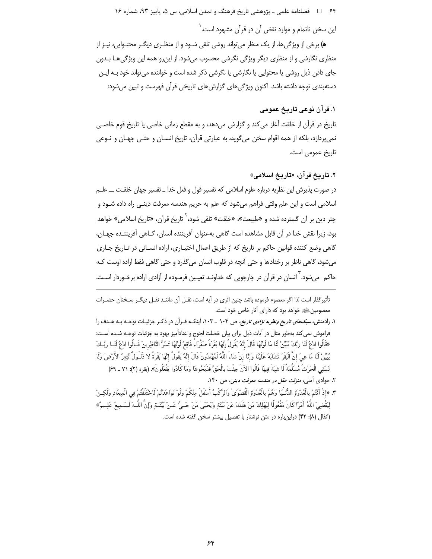۶۴ فصلنامه علمي ـ پژوهشي تاريخ فرهنگ و تمدن اسلامي، س ۵، پاييز ۹۳، شماره ۱۶

این سخن ناتمام و موارد نقض آن در قرآن مشهود است. <sup>(</sup>

ه) برخی از ویژگی ها، از یک منظر می تواند روشی تلقی شـود و از منظـری دیگـر محتـوایی، نیـز از منظری نگارشی و از منظری دیگر ویژگی نگرشی محسوب میشود. از این رو همه این ویژگی هـا بـدون جای دادن ذیل روشی یا محتوایی یا نگارشی یا نگرشی ذکر شده است و خواننده می تواند خود بـه ایـن دستهبندی توجه داشته باشد. اکنون ویژگیهای گزارشهای تاریخی قرآن فهرست و تبین می شود:

# ١. قر آن نوعي تاريخ عمومي

تاریخ در قرآن از خلقت آغاز می کند و گزارش می دهد، و به مقطع زمانی خاصی یا تاریخ قوم خاصبی نمي پردازد، بلكه از همه اقوام سخن مي گويد، به عبارتي قرآن، تاريخ انســان و حتــي جهـان و نــوعي تاريخ عمومي است.

### ٢. تاريخ قرآن، «تاريخ اسلامي»

در صورت پذیرش این نظریه درباره علوم اسلامی که تفسیر قول و فعل خدا ــ تفسیر جهان خلقـت ـــ علــم اسلامی است و این علم وقتی فراهم میشود که علم به حریم هندسه معرفت دینـی راه داده شـود و چتر دین بر آن گسترده شده و «طبیعت»، «خلقت» تلقی شود،<sup>7</sup> تاریخ قرآن، «تاریخ اسلامی» خواهد بود، زيرا نقش خدا در آن قابل مشاهده است گاهي بهعنوان آفريننده انسان، گـاهي آفريننـده جهـان، گاهی وضع کننده قوانین حاکم بر تاریخ که از طریق اعمال اختیـاری، اراده انسـانی در تـاریخ جـاری می شود، گاهی ناظر بر رخدادها و حتی آنچه در قلوب انسان می گذرد و حتی گاهی فقط اراده اوست کـه حاکم می شود. <sup>۲</sup> انسان در قرآن در چارچوبی که خداونـد تعیـین فرمـوده از آزادی اراده برخـوردار اسـت.

تأثيرگذار است لذا اگر معصوم فرموده باشد چنين اثري در آيه است، نقـل آن ماننـد نقـل ديگـر سـخنان حضـرات معصومین ﷺ خواهد بود که دارای آثار خاص خود است.

۱. رادمنش، *سبکهای تاریغ ونظریه نژادی تاریخ*، ص ۱۰۴ \_ ۱۰۳، اینکه قـرآن در ذکـر جزئیـات توجـه بـه هـدف را فراموش نمی کند بهطور مثال در آیات ذیل برای بیان خصلت لجوج و عنادآمیز یهود به جزئیات توجـه شـده اسـت: «قَالُوا ادْعُ لَنَا ربَّكَ يُبَيِّنْ لَنَا مَا لَوْتُهَا قَالَ إِنَّهُ يَقُولُ إِنَّهَا بَقَرَةً صَفْراء<sup>ً</sup> فَاقِعُ لَوْتُهَا تَسُرُّ النَّاظِرِينَ قَـالُوا ادْعُ لَنَــا ربَّـكَ يُبيِّنْ لَنَا مَا هِيَ إِنَّ الْبَقَرَ تَشَابَهَ عَلَيْنَا وَإِنَّا إِنْ شَاءَ اللَّهُ لَمُهْتَدُونَ قَالَ إِنَّهُ يَقُولُ إِنَّهَا بَقَرَةً لا ذَلَـولٌ تُثِيرُ الأَرْضَ وَلَا تَسْقِى الْحَرْثَ مُسَلَّمَةٌ لَا شِيَةَ فِيهَا قَالُوا الآنَ جِئْتَ بِالْحَقِّ فَذَبَحُوهَا وَمَا كَادُوا يَفْعَلُونَ». (بقره (٢): ٧١ ـ ۶۹)

- ۲. جوادی آملی، *منزلت عقل در هندسه معرفت دینی، ص* ۱۴۰.
- ٣. «إِذْ أَنْتُمْ بِالْعُدْوَةِ الدُّنْـيَا وَهُمْ بِالْعُدْوَةِ الْقُصْوَىٰ وَالرَّكْبُ أَسْفَلَ مِنْكُمْ وِلَوْ تَوَاعَدْتُمْ لَاخْتَلَفْتُمْ فِي الْمِيعَادِ وَلَكِـنْ لِيَقْضِيَ اللَّهُ أَمْرًا كَانَ مَفْعُولًا لِيَهْلِكَ مَنْ هَلَكَ عَنْ بَيِّنَةٍ ويَحْيَىٰ مَنْ حَـيَّ عَـنْ بَيِّنَـةٍ وَإِنَّ اللَّـهَ لَسَـمِيعٌ عَلِـيمٌ» (انفال (٨): ۴۲) دراین باره در متن نوشتار با تفصیل بیشتر سخن گفته شده است.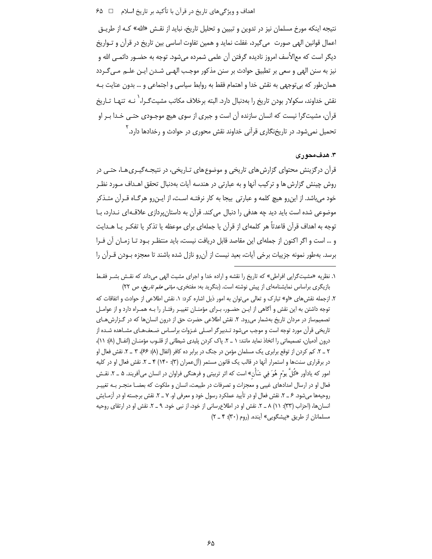نتیجه اینکه مورخ مسلمان نیز در تدوین و تبیین و تحلیل تاریخ، نباید از نقـش «الله» کـه از طریـق اعمال قوانین الهی صورت ًمیگیرد، غفلت نماید و همین تفاوت اساسی بین تاریخ در قرآن و تـواریخ ديگر است كه مع|لأسف امروز ناديده گرفتن آن علمي شمرده مي،شود. توجه به حضـور دائمـي الله و نیز به سنن الهی و سعی بر تطبیق حوادث بر سنن مذکور موجب الهـی شـدن ایـن علـم مـی٤حـردد همان طور که بی توجهی به نقش خدا و اهتمام فقط به روابط سیاسی و اجتماعی و … بدون عنایت بـه نقش خداوند، سکولار بودن تاریخ را بهدنبال دارد. البته برخلاف مکاتب مشیتگـرا، ٰ نـه تنهـا تـاریخ قرآن، مشیتگرا نیست که انسان سازنده آن است و جبری از سوی هیچ موجـودی حتـی خـدا بـر او تحمیل نمیشود. در تاریخنگاری قرآنی خداوند نقش محوری در حوادث و رخدادها دارد.<sup>۲</sup>

# ۳. هدف،محوری

قرآن درگزینش محتوای گزارش های تاریخی و موضوع های تـاریخی، در نتیجـهگیـری هـا، حتـی در روش چینش گزارش ها و ترکیب آنها و به عبارتی در هندسه آیات بهدنبال تحقق اهـداف مـورد نظـر خود می باشد. از این رو هیچ کلمه و عبارتی بیجا به کار نرفتـه اسـت، از ایـن رو هرگـاه قـرآن متـذکر موضوعی شده است باید دید چه هدفی را دنبال می کند. قرآن به داستان پردازی علاقـهای نـدارد، بـا توجه به اهداف قرآن قاعدتاً هر کلمهای از قرآن یا جملهای برای موعظه یا تذکر یا تفکـر یــا هــدایت و … است و اگر اكنون از جملهاى اين مقاصد قابل دريافت نيست، بايد منتظـر بـود تـا زمـان آن فـرا برسد. بهطور نمونه جزییات برخی آیات، بعید نیست از آن٫رو نازل شده باشند تا معجزه بـودن قـرآن را

۱. نظریه «مشیت گرایی افراطی» که تاریخ را نقشه و اراده خدا و اجرای مشیت الهی میداند که نقـش بشـر فقـط بازیگری براساس نمایشنامهای از پیش نوشته است. (بنگرید به: مفتخری، *مبانی علم تاریخ، ص* ٢٢)

۲. ازجمله نقش های «او» تبارک و تعالی می توان به امور ذیل اشاره کرد: ۱. نقش اطلاعی از حوادث و اتفاقات که توجه داشتن به این نقش و آگاهی از ایـن حضـور، بـرای مؤمنـان تغییـر رفتـار را بـه همـراه دارد و از عوامـل تصمیمساز در مردان تاریخ بهشمار می رود. ۲. نقش اطلاعی حضرت حق از درون انسان ها که در گـزارش هـای تاریخی قرآن مورد توجه است و موجب میشود تـدبیرگر اصـلی غـزوات براسـاس ضـعفـهـای مشـاهده شـده از درون آدمیان، تصمیماتی را اتخاذ نماید مانند: ۱ \_ ۲. پاک کردن پلیدی شیطانی از قلـوب مؤمنــان (انفــال (۸): ۱۱)، ۲ \_ ۲. کم کردن از توقع برابری یک مسلمان مؤمن در جنگ در برابر ده کافر (انفال (۸): ۶۶)، ۳ \_ ۲. نقش فعال او در برقراری سنتها و استمرار آنها در قالب یک قانون مستمر (آلءمران (۳): ۱۴۰) ۴ ـ ۲. نقش فعال او در کلیه امور که یادآور «کُلَّ یوْم هُوَ فِی شَأْن» است که اثر تربیتی و فرهنگی فراوان در انسان میآفریند. ۵ ـ ۲. نقـش فعال او در ارسال امدادهای غیبی و معجزات و تصرفات در طبیعت، انسان و ملکوت که بعضــا منجــر بــه تغییــر روحیهها میشود. ۶ ـ ۲. نقش فعال او در تأیید عملکرد رسول خود و معرفی او. ۷ ـ ۲. نقش برجسته او در آزمـایش انسانها، (احزاب (٣٣): ١٦) ٨ \_ ٢. نقش او در اطلاعِ رساني از خود، از نبي خود. ٩ \_ ٢. نقش او در ارتقاى روحيه مسلمانان از طریق «پیشگویی» آینده. (روم (۳۰): ۴ \_ ۲)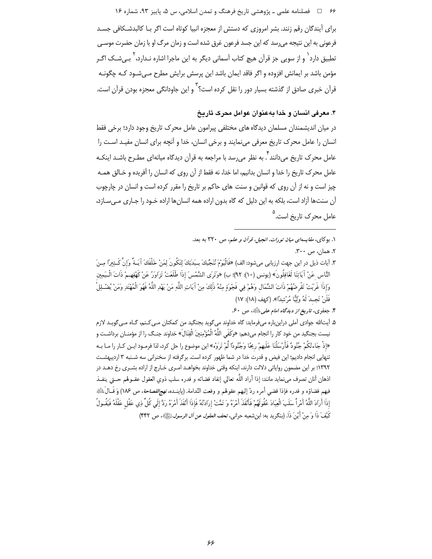۶۶ = □ فصلنامه علمي ـ پژوهشي تاريخ فرهنگ و تمدن اسلامي، س ۵، پاييز ۹۳، شماره ۱۶

برای آیندگان رقم زنند. بشر امروزی که دستش از معجزه انبیا کوتاه است اگر بـا کالبدشـکافی جسـد فرعونی به این نتیجه میرسد که این جسد فرعون غرق شده است و زمان مرگ او با زمان حضرت موسـی تطبیق دارد<sup>\</sup> و از سویی جز قرآن هیچ کتاب آسمانی دیگر به این ماجرا اشاره نـدارد، <sup>۲</sup> بــی شـک اگــر مؤمن باشد بر ایمانش افزوده و اگر فاقد ایمان باشد این پرسش برایش مطرح مـیشـود کـه چگونـه قرآن خبری صادق از گذشته بسیار دور را نقل کرده است؟<sup>۳</sup> و این جاودانگی معجزه بودن قرآن است.

# ۴. معرفی انسان و خدا بهعنوان عوامل محرک تاریخ

در میان اندیشمندان مسلمان دیدگاه های مختلفی پیرامون عامل محرک تاریخ وجود دارد؛ برخی فقط انسان را عامل محرک تاریخ معرفی می;مایند و برخی انسان، خدا و آنچه برای انسان مفیـد اسـت را ۔<br>عامل محرک تاریخ می،دانند '. به نظر می،رسد با مراجعه به قرآن دیدگاه میانهای مطـرح باشــد اینکــه عامل محرک تاریخ را خدا و انسان بدانیم، اما خدا، نه فقط از آن روی که انسان را آفریده و خـالق همـه چیز است و نه از آن روی که قوانین و سنت های حاکم بر تاریخ را مقرر کرده است و انسان در چارچوب آن سنتها آزاد است، بلکه به این دلیل که گاه بدون اراده همه انسانها اراده خـود را جـاری مـیسـازد، عامل محرک تاریخ است.<sup>۵</sup>

۱. بوکای، *مقایسهای میان تورات، انجیل، قرآن و علم*، ص ۳۲۰ به بعد.

۴. جعفری، تاریخ از دیدگاه امام علمی ﷺ، ص ۶۰.

۵. آیتالله جوادی آملی دراینباره میفرماید: گاه خداوند میگوید بجنگید من کمکتان مـی کـنم، گـاه مـیگویـد لازم نيست بجنگيد من خود كار را انجام ميدهم: «وكَفَى اللَّهُ الْمُؤْمِنينَ الْقِتَالَ» خداوند جنـگ را از مؤمنــان برداشـت و «إذْ جَاءتْكُمْ جُنُودٌ فَأَرْسَلْنَا عَلَيهِمْ رِيحًا وَجُنُودًا لَّمْ تَرَوْه» اين موضوع را حل كرد، لذا فرمـود ايـن كـار را مـا بـه تنهایی انجام دادیم؛ این فیض و قدرت خدا در شما ظهور کرده است. برگرفته از سخنرانی سه شـنبه ۳ اردیبهشـت ۱۳۹۲؛ بر این مضمون روایاتی دلالت دارند، اینکه وقتی خداوند بخواهـد امـری خـارج از اراده بشـری رخ دهـد در اذهان أنان تصرف مىنمايد مانند: إذا أراد اللّه تعالى إنفاد قضائه و قدره سلب ذوى العقول عقــولهم حــتى ينفــذ فيهم قضاؤه و قدره فإذا قضي أمره ردّ إليهم عقولهم و وقعت النّدامة. (پاينــده، *نهج!لفصاحة*، ص ١٨۶) وَ قَــالَﷺ إِذَا أَرَادَ اللَّهُ أَمْراً سَلَبَ الْعِبَادَ عُقُولَهُمْ فَأَنْفَذَ أَمْرَهُ وَ تَمَّتْ إِرَادَتُهُ فَإِذَا أَنْفَذَ أَمْرَهُ رَدَّ إِلَى كُلِّ ذِي عَقْل عَقْلَهُ فَيَقُـولُ كَيْفَ ذَا وَ مِنْ أَيْنَ ذَا. (بنگريد به: ابن شعبه حراني، ت*حف العقول عن آل الرسول ﷺ*»، ص ۴۴۲)

٢. همان، ص ٣٠٠.

٣. آيات ذيل در اين جهت ارزيابي ميشود: الف) «فَالْيَوْمَ نُنَجِّيكَ بِـبَدَنِكَ لِتَكُونَ لِمَنْ خَلْفَكَ آيَـةً وَإِنَّ كَـثِيرًا مِـنَ النَّاس عَنْ آيَاتِنَا لَغَافِلُونَ» (يونس (١٠): ٩٢)؛ ب) «وَتَرَى الشَّمْسَ إذَا طَلَعَتْ تَزَاوَرُ عَنْ كَهْفِهمْ ذَاتَ الْـيَمِين وَإِذَا غَرَبَتْ تَقْرِضُهُمْ ذَاتَ الشِّمَال وَهُمْ فِي فَجْوَةٍ مِنْهُ ذَلِكَ مِنْ آيَاتِ اللَّهِ مَنْ يَهْدِ اللَّهُ فَهُوَ الْمُهْتَدِ وَمَنْ يُضْـلِلْ فَلَنْ تَجِـدَ لَهُ وَلِيًّا مُرْشِدًا». (كهف (١٨): ١٧)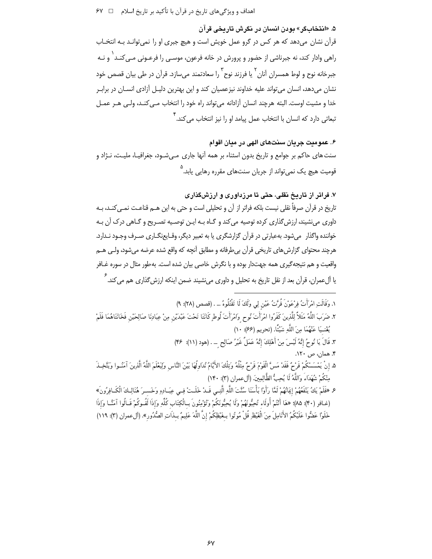۵. «انتخاب کر» يو دن انسان در نکرش تاريخي قرآن قرآن نشان میدهد که هر کس در گرو عمل خویش است و هیچ جبری او را نمی توانـد بـه انتخـاب راهي وادار كند، نه جبرناشي از حضور و پرورش در خانه فرعون، موسـي را فرعــوني مـي2نــد ٰ و نــه جبرخانه نوح و لوط همسران آنان <sup>۲</sup> یا فرزند نوح ۳ را سعادتمند می سازد. قرآن در طی بیان قصص خود نشان میدهد، انسان میتواند علیه خداوند نیزعصیان کند و این بهترین دلیـل آزادی انسـان در برابـر خدا و مشیت اوست. البته هرچند انسان آزادانه می تواند راه خود را انتخاب مـی کنـد، ولـی هـر عمـل ِ<br>تبعاتی دارد که انسان با انتخاب عمل پیامد او را نیز انتخاب م<sub>ی</sub> کند.

۶. عمومت جريان سنتهاي الهي در ميان اقوام سنت های حاکم بر جوامع و تاریخ بدون اسثناء بر همه آنها جاری میشود، جغرافیـا، ملیـت، نـژاد و ۔<br>قومیت ھیچ پک نمے تواند از جریان سنتھای مقررہ رھاپے پابد.<sup>^</sup>

۷. فراتر از تاریخ نقلی، حتی تا مرزداوری و ارزش گذاری تاریخ در قرآن صرفاً نقلی نیست بلکه فراتر از آن و تحلیلی است و حتی به این هــم قناعـت نمــی کنــد، بــه داوري مي نشيند، ارزش گذاري كرده توصيه مي كند و گــاه بــه ايــن توصــيه تصـريح و گــاهي درک آن بــه خواننده واگذار میشود. بهعبارتی در قرآن گزارشگری یا به تعبیر دیگر، وقـایعنگـاری صـرف وجـود نـدارد. هرچند محتوای گزارش های تاریخی قرآن بی طرفانه و مطابق آنچه که واقع شده عرضه می شود، ولـی هــم واقعیت و هم نتیجهگیری همه جهتدار بوده و با نگرش خاصی بیان شده است. به طور مثال در سوره غـافر یا آلءمران، قرآن بعد از نقل تاریخ به تحلیل و داوری می;شیند ضمن اینکه ارزش ِگذاری هم می کند. <sup>۶</sup>

١. وَقَالَتِ امْرَأَتُ فِرْعَوْنَ قُرَّتُ عَيْنٍ لِي وَلَكَ لَا تَقْتُلُوهُ ... . (قصص (٢٨): ٩) ٢. ضَرَبَ اللَّهُ مَثَلاً لِلَّذِينَ كَفَرُوا امْرَأَتَ نُوحٍ وَامْرَأَتَ لُوطٍ كَانَتَا تَحْتَ عَبْدَيْن مِنْ عِبَادِنَا صَالِحَيْن فَخَانَتَاهُمَا فَلَمْ يُغْنِـيَا عَنْهُمَا مِنَ اللَّهِ شَيْئًا. (تحريم (۶۶): ١٠) ٣. قَالَ يَا نُوحُ إِنَّهُ لَيْسَ مِنْ أَهْلِكَ إِنَّهُ عَمَلٌ غَيْرُ صَالِحٍ … . (هود (١١): ٣۶) ۴. همان، ص ۱۲۰. ۵. إنْ يَمْسَسْكُمْ قَرْمٌ فَقَدْ مَسَّ الْقَوْمَ قَرْمٌ مِثْلُهُ وَتِلْكَ الأَيَّامُ نُدَاولُهَا بَيْنَ النَّاس وَلِيَعْلَمَ اللَّهُ الَّذِينَ آمَنُـوا وَيَتَّخِـذَ مِنْكُمْ شُهَدَاءَ وَاللَّهُ لَا يُجِبُّ الظَّالِمِينَ. (أل عمران (٣): ١۴٠)

عِ «فَلَمْ يَكُ يَنْفَعُهُمْ إِيَانُهُمْ لَمَّا رَأُواْ بَأْسَنَا سُنَّتَ اللَّهِ الَّتِـي قَـدْ خَلَـتْ فِـي عِبَـادِهِ وَخَسـرَ هُنَالِـكَ الْكَـافِرُونَ» (غـافر (۴۰): ۸۵)؛ «هَا أَنْتُمْ أُولَاء تُحِبُّونَهُمْ وَلَا يُحِبُّونَكُمْ وتُؤْمِنُونَ بِـالْكِتَاب كُلِّهِ وَإِذَا لَقُـوكُمْ قَـالُوا آمَنَّـا وَإِذَا .<br>خَلَوْا عَضُّوا عَلَيْكُمُ الأَنَامِلَ مِنَ الْغَيْظِ قُلْ مُوتُوا بِخَيْظِكُمْ إِنَّ اللَّهَ عَلِيمٌ بِـذَاتِ الصُّدُورِ». (آلءمران (٣): ١١٩)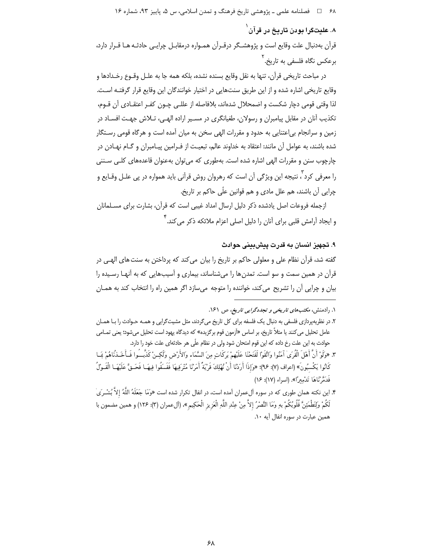# ۸. علیتگرا بودن تاریخ در قرآن<sup>`</sup>

قرأن بهدنبال علت وقايع است و پژوهشـگر درقـرأن همـواره درمقابـل چرايـي حادثـه هـا قـرار دارد، برعکس نگاه فلسفی به تاریخ. <sup>۱</sup>

در مباحث تاريخي قرأن، تنها به نقل وقايع بسنده نشده، بلكه همه جا به علـل وقــوع رخــدادها و وقايع تاريخي اشاره شده و از اين طريق سنتهايي در اختيار خوانندگان اين وقايع قرار گرفتـه اسـت. لذا وقتی قومی دچار شکست و اضمحلال شدهاند، بلافاصله از عللـی چـون کفـر اعتقـادی آن قـوم، تکذیب آنان در مقابل پیامبران و رسولان، طغیانگری در مسـیر اراده الهـی، تـلاش جهـت افسـاد در زمین و سرانجام بی|عتنایی به حدود و مقررات الهی سخن به میان آمده است و هرگاه قومی رسـتگار شده باشند، به عوامل آن مانند: اعتقاد به خداوند عالم، تبعیت از فـرامین پیـامبران و گـام نهـادن در چارچوب سنن و مقررات الهی اشاره شده است. بهطوری که میتوان بهعنوان قاعدههای کلـی سـننی را معرفی کرد ؓ، نتیجه این ویژگی آن است که رهروان روش قرآنی باید همواره در پی علـل وقـایع و چراپی آن باشند، هم علل مادی و هم قوانین علّی حاکم بر تاریخ.

ازجمله فروعات اصل یادشده ذکر دلیل ارسال امداد غیبی است که قرآن، بشارت برای مسـلمانان و ایجاد آرامش قلبی برای آنان را دلیل اصلی اعزام ملائکه ذکر می *ک*ند.<sup>۴</sup>

#### ۹. تجهيز انسان به قدرت پيش بيني حوادث

گفته شد، قرآن نظام علی و معلولی حاکم بر تاریخ را بیان می کند که پرداختن به سنت های الهـی در قرآن در همین سمت و سو است. تمدن ها را می شناساند، بیماری و آسیبهایی که به آنهـا رسـیده را بيان و چرايي آن را تشريح مي كند، خواننده را متوجه مي سازد اگر همين راه را انتخاب كند به همـان

۱. رادمنش، مکتبه*ای تاریخی و تجددگرایی تاریخ*، ص ۱۶۱.

۲. در نظریهپردازی فلسفی به دنبال یک فلسفه برای کل تاریخ میگردند، مثل مشیتگرایی و همـه حـوادث را بـا همـان عامل تحلیل می کنند یا مثلاً تاریخ، بر اساس «آزمون قوم برگزیده» که دیدگاه یهود است تحلیل می شود؛ یعنی تمـامی حوادث به این علت رخ داده که این قوم امتحان شود ولی در نظام علّی هر حادثهای علت خود را دارد.

٣. «وَلَوْ أَنَّ أَهْلَ الْقُرَىٰ آمَنُوا واتَّقَوْا لَفَتَحْنَا عَلَيْهِمْ بَركَاتِ مِنَ السَّمَاء والأَرْض ولَكِـنْ كَذَّبِــُوا فَــأَخَــذْنَاهُمْ بَمــا كَانُوا يَكْسبُونَ» (اعراف (٧): ٩۶)؛ «وَإِذَا أَرَدْنَا أَنْ نُهْلِكَ قَرْيَةً أَمَرْنَا مُتْرَفِيهَا فَفَسَقُوا فِيهَـا فَحَـقَّ عَلَيْهَـا الْقَـوْلُ فَدَمَّرْ نَاهَا تَدْمِيرًا». (اسراء (١٧): ١۶)

۴. این نکته همان طوری که در سوره آلءمران آمده است، در انفال تکرار شده است «وَمَا جَعَلَهُ اللَّهُ إلاَّ بُشْـرَىٰ لَكُمْ وَلِتَطْمَئِنَّ قُلُوبُكُمْ بهِ وَمَا النَّصْرُ إلاَّ مِنْ عِنْدِ اللَّهِ الْعَزيز الْحَكِيم »، (ألءعمران (٣): ١٢۶) و همين مضمون با همین عبارت در سوره انفال آیه ۱۰.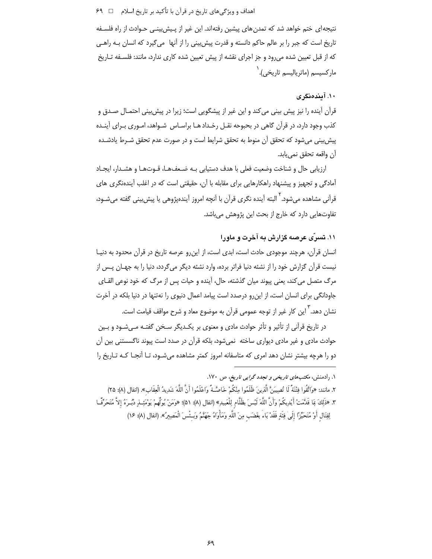#### اهداف و ویژگیهای تاریخ در قرآن با تأکید بر تاریخ اسلام ⊥ ہ ۶۹

نتیجهای ختم خواهد شد که تمدن های پیشین رفتهاند. این غیر از پـیشeبینـی حـوادث از راه فلسـفه تاریخ است که جبر را بر عالم حاکم دانسته و قدرت پیش بینی را از آنها ً میگیرد که انسان بـه راهـی که از قبل تعیین شده می رود و جز اجرای نقشه از پیش تعیین شده کاری ندارد، مانند: فلسـفه تـاریخ مار کسیسم (ماتر پالیسم تاریخی).<sup>۱</sup>

# ۱۰. آیندهنگری

قرآن آینده را نیز پیش بینی می کند و این غیر از پیشگویی است؛ زیرا در پیش بینی احتمـال صـدق و کذب وجود دارد، در قرآن گاهی در بحبوحه نقـل رخـداد هـا براسـاس شـواهد، امـوری بـرای آینـده پیش بینی می شود که تحقق آن منوط به تحقق شرایط است و در صورت عدم تحقق شـرط یادشـده آن واقعه تحقق نمي يابد.

ارزيابي حال و شناخت وضعيت فعلى با هدف دستيابي بـه ضـعف@ا، قـوتهـا و هشـدار، ايجـاد آمادگی و تجهیز و پیشنهاد راهکارهایی برای مقابله با آن، حقیقتی است که در اغلب آیندهنگری های قرآنی مشاهده می شود. <sup>۲</sup> البته آینده نگری قرآن با آنچه امروز آیندهپژوهی یا پیش بینی گفته می شـود، تفاوتهایی دارد که خارج از بحث این پژوهش میباشد.

# ۱۱. تسرّي عرصه گزارش به آخرت و ماورا

انسان قرآن، هرچند موجودی حادث است، ابدی است، از این رو عرصه تاریخ در قرآن محدود به دنیـا نیست قرآن گزارش خود را از نشئه دنیا فراتر برده، وارد نشئه دیگر میگردد، دنیا را به جهـان پـس از مرگ متصل می کند، یعنی پیوند میان گذشته، حال، آینده و حیات پس از مرگ که خود نوعی القـای جاودانگی برای انسان است، از این رو درصدد است پیامد اعمال دنیوی را نهتنها در دنیا بلکه در آخرت نشا<sub>ن</sub> دهد. <sup>۳</sup> این کار غیر از توجه عمومی قرآن به موضوع معاد و شرح مواقف قیامت است.

در تاریخ قرآنی از تأثیر و تأثر حوادث مادی و معنوی بر یکـدیگر سـخن گفتـه مـیشـود و بـین حوادث مادی و غیر مادی دیواری ساخته نمیشود، بلکه قرآن در صدد است پیوند ناگسستنی بین آن دو را هرچه بیشتر نشان دهد امری که متاسفانه امروز کمتر مشاهده می شـود، تـا آنجـا کـه تـاریخ را

۱. رادمنش، مکتبهای تاریخی و تجدد گرایی تاریخ، ص ۱۷۰. ٢. مانند: «وَاتَّقُوا فِتْنَةً لَا تُصِيبَنَّ الَّذِينَ ظَلَمُوا مِنْكُمْ خَاصَّـةً وَاعْلَمُوا أَنَّ اللَّهَ شَدِيدُ الْعِقَابِ». (انفال (٨): ٢۵) ٣. «ذَلِكَ بَمَا قَدَّمَتْ أَيْدِيكُمْ وَأَنَّ اللَّهَ لَيْسَ بِظَلَّام لِلْعَبِيدِ» (انفال (٨): ۵۱)؛ «وَمَنْ يُولِّهمْ يَوْمَئِــنٍ دُبُــرَهُ إلاَّ مُتَحَرِّفًــا لِقِتَال أَوْ مُتَحَيِّرًا إِلَىٰ فِئَةٍ فَقَدْ بَاءَ بِغَضَبٍ مِنَ اللَّهِ وَمَأْوَاهُ جَهَنَّمُ وَبـئْسَ الْمَصِيرُ». (انفال (٨): ١۶)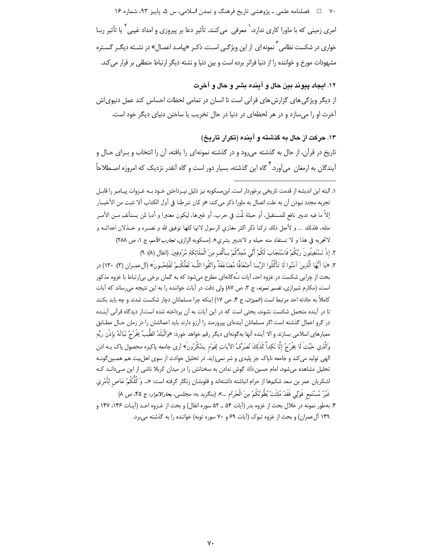.<br>∨ □ فصلنامه علمی ـ پژوهشی تاریخ فرهنگ و تمدن اسلامی، س ۵، یاییز ۹۳، شما, ه ۱۶

امری زمینی که با ماورا کاری ندارد،<sup>\</sup> معرفی میکنند. تأثیر دعا بر پیروزی و امداد غیبی<sup>۲</sup> یا تأثیر ربـا خواری در شکست نظامی <sup>۳</sup> نمونه ای از این ویژگـی اسـت. ذکـر «پیامـد اعمـال» در نشـئه دیگـر گسـتره مشهودات مورخ و خواننده را از دنیا فراتر برده است و بین دنیا و نشئه دیگر ارتباط منطقی بر قرار می کند.

۱۲. ایجاد پیوند بین حال و آینده بشر و حال و آخرت

از دیگر ویژگی های گزارش های قرآنی است تا انسان در تمامی لحظات احساس کند عمل دنیوی|ش آخرت او را می سازد و در هر لحظهای در دنیا در حال تخریب یا ساختن دنیای دیگر خود است.

۱۳. حرکت از حال به گذشته و آینده (تکرار تاریخ) تاریخ در قرآن، از حال به گذشته میرود و در گذشته نمونهای را یافته، آن را انتخاب و بـرای حـال و آیندگان به ارمغان ٍ می آورد. <sup>۴</sup> گاه این گذشته، بسیار دور است و گاه آنقدر نزدیک که امروزه اصـطلاحاً

١. البته اين انديشه از قدمت تاريخي برخوردار است. ابن مسكويه نيز دليل نيـرداختن خـود بـه غـزوات پيـامبر را قابـل تجربه مجدد نبودن آن به علت اتصال به ماورا ذکر می کند: «و کان شرطنا فی أول الکتاب ألا نثبت من الأخبــار إلاَّ ما فيه تدبير نافع للمستقبل، أو حيلة تمَّت في حرب، أو غيرها، ليكون معتبرا و أدبا لمن يستأنف مـن الأمــر مثله، فلذلك … و لأجل ذلك تركنا ذكر اكثر مغازى الرسول لانها كلها توفيق الله و نصـره و خـذلان اعدائــه و لاتجربه في هذا و لا تستفاد منه حيله و لاتدبير بشرى». (مسكويه الرازى، تجارب الأمم، ج ١، ص ٢٨٨) ٢. إذْ تَسْتَغِيثُونَ ربَّكُمْ فَاسْتَجَابَ لَكُمْ أَنِّي مُمِدُّكُمْ بِأَلْفٍ مِنَ الْمَلَائِكَةِ مُرْدِفِينَ. (انفال (٨): ٩)

٣. «يَا أَيُّهَا الَّذِينَ آمَنُوا لَا تَأْكُلُوا الرِّبِّ] أَضْعَافًا مُضَاعَفَةً واتَّقُوا اللَّـهَ لَعَلَّكُـمْ تُفْلِحُـونَ» (أل عمـران (٣): ١٣٠) در بحث از چراپی شکست در غزوه احد، آیات نـُه گانهای مطرح می شود که به گمان برخی بی|رتباط با غزوه مذکور است، (مکارم شیرازی، *تفسیر نمونه*، ج ۳، ص ۸۷) ولی دقت در آیات خواننده را به این نتیجه می رساند که آیات کاملاً به حادثه احد مرتبط است (*الميزان*، ج ۴، ص ١٧) اينکه چرا مسلمانان دچار شکست شدند و چه بايد بکنند تا در آینده متحمل شکست نشوند، بحثی است که در این آیات به آن پرداخته شده است.از دیدگاه قرآنی آینـده در گرو اعمال گذشته است اگر مسلمانان آیندهای پیروزمند را آرزو دارند باید اعمالشان را در زمان حـال مطـابق معيارهاى اسلامى بسازند و الا آينده آنها بهڰونهاى ديگر رقم خواهد خورد: «وَالْبَلَدُ الطِّيبُ يخْرُجُ نَبَاتُهُ بإذْن ربِّهِ وَالَّذِي خَبْثَ لَا يَخْرُجُ إِلَّا نَكِداً كَذَلِكَ نُصَرِّفُ الآياتِ لِقَوْمٍ يشْكُرُونَ» اَرى جامعه پاكيزه محصول پاک بــه اذن الهی تولید می کند و جامعه ناپاک جز پلیدی و شر نمی;اید. در تحلیل حوادث از سوی اهل پیت هم همـین گونـه تحلیل مشاهده میشود، امام حسین ﷺ گوش ندادن به سخنانش را در میدان کربلا ناشی از این مـیدانـد کـه لشكريان عمر بن سعد شكمها از حرام انباشته داشتهاند و قلوبشان زنگار گرفته است: «... وَ كُلّْكُمْ عَاص لِأَمْري غَيْرُ مُسْتَمِعٍ قَوْلِي فَقَدْ مُلِئَتْ بُطُونُكُمْ مِنَ الْحَرَام …». (بنگريد به: مجلسي، *بحارالانوار*، ج ۴۵، ص ۸) ۴. بهطور نمونه در خلال بحث از غزوه بدر (آيات ۵۴ \_ ۵۲ سوره انفال) و بحث از غــزوه احــد (آيــات ۱۴۶، ۱۴۷ و ۱۴۹ آلءمران) و بحث از غزوه تبوک (آیات ۶۹ و ۷۰ سوره توبه) خواننده را به گذشته میبرد.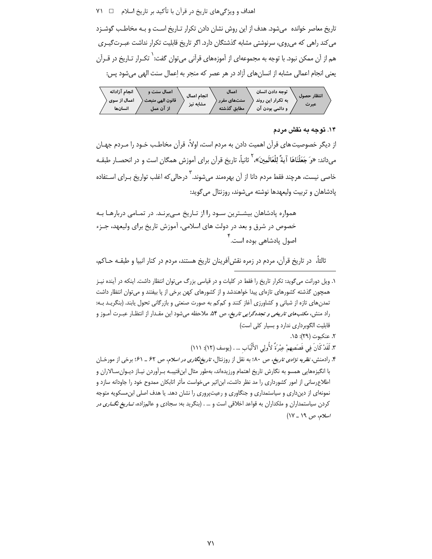اهداف و ویژگیهای تاریخ در قرآن با تأکید بر تاریخ اسلام ⊥ ۷۱ ۷۱

تاریخ معاصر خوانده میشود. هدف از این روش نشان دادن تکرار تـاریخ اسـت و بـه مخاطـب گوشـزد می کند راهی که میروی، سرنوشتی مشابه گذشتگان دارد. اگر تاریخ قابلیت تکرار نداشت عبـرتگیـری هم از آن ممکن نبود. با توجه به مجموعهای از آموزههای قرآنی می توان گفت: <sup>۱</sup> تکـرار تـاریخ در قــرآن يعني انجام اعمالي مشابه از انسان هاي آزاد در هر عصر كه منجر به إعمال سنت الهي مي شود پس:

| انجام آزادانه | اعمال سنت و      | انجام اعمال | اعمال       | توجه دادن انسان   | انتظار حصول |
|---------------|------------------|-------------|-------------|-------------------|-------------|
| اعمال از سوی  | قانون الهي منبعث | مشابه نیز   | سنتهای مقرر | به تکرار این روند | عبرت        |
| انسانها       | از آن عمل        |             | مطابق گذشته | و دائمي بودن آن   |             |

### ۱۴. توجه به نقش مردم

از دیگر خصوصیت های قرآن اهمیت دادن به مردم است، اولاً، قرآن مخاطب خـود را مـردم جهـان می‹اند: «وَ جَعَلْنَاهَا آيةً لِلْعَالَمِينَ»، <sup>آ</sup> ثانياً، تاريخ قرآن براي آموزش همگان است و در انحصـار طبقـه خاصی نیست، هرچند فقط مردم دانا از آن بهرهمند میشوند.<sup>۳</sup> درحالی که اغلب تواریخ بـرای اسـتفاده پادشاهان و تربیت ولیعهدها نوشته میشوند، روزنتال میگوید:

همواره پادشاهان بیشـترین سـود را از تـاریخ مـی,برنـد. در تمـامی دربارهـا بـه خصوص در شرق و بعد در دولت های اسلامی، آموزش تاریخ برای ولیعهد، جـزء اصول یادشاهے<sub>،</sub> بودہ است.<sup>۲</sup>

ثالثاً، ۖ در تاريخ قرآن، مردم در زمره نقش[فرينان تاريخ هستند، مردم در كنار انبيا و طبقـه حــاكم،

۱. ویل دورانت می گوید: تکرار تاریخ را فقط در کلیات و در قیاسی بزرگ میتوان انتظار داشت. اینکه در آینده نیـز همچون گذشته کشورهای تازهای پیدا خواهندشد و از کشورهای کهن برخی از یا بیفتند و می توان انتظار داشت تمدنهای تازه از شبانی و کشاورزی آغاز کنند و کمکم به صورت صنعتی و بازرگانی تحول یابند. (بنگریـد بـه: راد منش، *مکتبهای تاریخی و تجددگرایی تاریخ*، ص ۵۴. ملاحظه میشود این مقـدار از انتظـار عبـرت آمـوز و قابلیت الگوبرداری ندارد و بسیار کلی است)

۲. عنكبوت (۲۹): ۱۵.

٣. لَقَدْ كَانَ فِي قَصَصِهِمْ عِبْرَةً لأُولِي الأَلْبَابِ … . (يوسف (١٢): ١١١)

۴. رادمنش، *نظریه نژادی تاریخ*، ص ۸۰؛ به نقل از روزنتال، *تاریخنگاری در اسلام*، ص ۶۲ ـ ۶۱؛ برخی از مورخـان با انگیزههایی همسو به نگارش تاریخ اهتمام ورزیدهاند، بهطور مثال ابنقتیبـه بـرآوردن نیـاز دیـوان٬سالاران و اطلاعرسانی از امور کشورداری را مد نظر داشت، ابن|ثیر میخواست مأثر اتابکان ممدوح خود را جاودانه سازد و نمونهای از دینداری و سیاستمداری و جنگاوری و رعیتپروری را نشان دهد. یا هدف اصلی ابن مسکویه متوجه کردن سیاستمداران و ملکداران به قواعد اخلاقی است و … . (بنگرید به: سجادی و عالمزاده، *تــاریخ نگــاری در* /سلام، ص ١٩ ـ ١٧)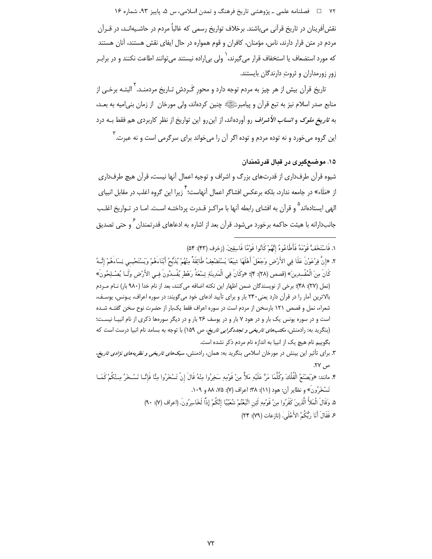۷۲ □ فصلنامه علمي ـ پژوهشي تاريخ فرهنگ و تمدن اسلامي، س ۵، پاييز ۹۳، شماره ۱۶ نقش آفرینان در تاریخ قرآنی می باشند. برخلاف تواریخ رسمی که غالباً مردم در حاشـیهانـد، در قــرآن مردم در متن قرار دارند، ناس، مؤمنان، کافران و قوم همواره در حال ایفای نقش هستند، آنان هستند که مورد استضعاف یا استخفاف قرار می $^2$ یرند، $^{'}$  ولی بی|راده نیستند میتوانند اطاعت نکنند و در برابـر زور زورمداران و ثروتِ دارندگان بایستند.

تاریخ قرآن بیش از هر چیز به مردم توجه دارد و محورِ گَـردشِ تـاریخ مردمنـد.<sup>۲</sup> البتـه برخـی از منابع صدر اسلام نیز به تبع قرآن و پیامبرﷺ چنین کردهاند، ولی مورخان ِ از زمان بنی|میه به بعـد، به *تاریخ ملوک و انساب الأشراف* رو آوردهاند، از این رو این تواریخ از نظر کاربردی هم فقط بـه درد این گروه می خورد و نه توده مردم و توده اگر آن را می خواند برای سرگرمی است و نه عبرت. ۳

## ۱۵. موضعګری در قبال قدر تمندان

شیوه قرآن طرفداری از قدرتهای بزرگ و اشراف و توجیه اعمال آنها نیست، قرآن هیچ طرفداری از «مَلَاء» در جامعه ندارد، بلکه برعکس افشاگر اعمال آنهاست؛ `` زیرا این گروه اغلب در مقابل انبیای الهی ایستادهاند<sup>۵</sup> و قرآن به افشای رابطه آنها با مراکـز قـدرت پرداختـه اسـت. امـا در تـواریخ اغلـب جانبدارانه با هیئت حاکمه برخورد می شود. قرآن بعد از اشاره به ادعاهای قدرتمندان <sup>۶</sup> و حتی تصدیق

١. فَاسْتَخَفَّ قَوْمَهُ فَأَطَاعُوهُ إِنَّهُمْ كَأْنُوا قَوْمًا فَاسِقِينَ. (زخرف (۴۳): ۵۴)

- ٢. «إِنَّ فِرْعَوْنَ عَلَا فِي الأَرْضِ وَجَعَلَ أَهْلَهَا شِيَعًا يَسْتَضْعِفُ طَائِفَةً مِنْهُمْ يُذبِّحُ أَبْنَاءَهُمْ وَيَسْتَحْيــى نِسَاءَهُمْ إِنَّـهُ كَانَ مِنَ الْمُفْسدِينَ» (قصص (٢٨): ۴)؛ «وكَانَ فِي الْمَدِينَةِ تِسْعَةُ رَهْطِ يُفْسدُونَ فِـي الأَرْض وكَـا يُصْـلِحُونَ» (نمل (٢٧): ۴۸)؛ برخی از نویسندگان ضمن اظهار این نکته اضافه می کنند، بعد از نام خدا (٩٨٠ بار) نــام مــردم بالاترین آمار را در قرآن دارد یعنی ۲۴۰ بار و برای تأیید ادعای خود میگویند: در سوره اعراف، پونس، یوسف، شعراء، نمل و قصص ١٢١ بارسخن از مردم است در سوره اعراف فقط یک بار از حضرت نوح سخن گفتـه شـده است و در سوره یونس یک بار و در هود ۷ بار و در یوسف ۲۶ بار و در دیگر سورهها ذکری از نام انبیـا نیسـت؛ (بنگرید به: رادمنش، *مکتبهای تاریخی و تجددگرایی تاریخ، ص* ۱۵۹) با توجه به بسامد نام انبیا درست است که بگوییم نام هیچ یک از انبیا به اندازه نام مردم ذکر نشده است.
- ۳. برای تأثیر این بینش در مورخان اسلامی بنگرید به: همان، رادمنش، *سبکهای تاریخی و نظریههای نژادی تاریخ*، ص ۲۷.
- ۴. مانند: «وَيَصْنَعُ الْفُلْكَ وكُلَّمَا مَرَّ عَلَيْهِ مَلأٌ مِنْ قَوْمِهِ سَخِرُوا مِنْهُ قَالَ إنْ تَسْخَرُوا مِنَّا فَإِنَّــا نَسْخَرُ مِـنْكُمْ كَعَــا تَسْخَرُونَ» و نظایر آن: هود (۱۱): ۳۸؛ اعراف (۷): ۷۵، ۸۸ و ۱۰۹.
	- ۵. وَقَالَ الْمَلأُ الَّذِينَ كَفَرُوا مِنْ قَوْمِهِ لَئِن اتَّبَعْتُمْ شُعَيْبًا إِنَّكُمْ إِذًا لَخَاسِرُونَ. (اعراف (٧): ٩٠)
		- عِ فَقَالَ أَنَا رَبُّكُمُ الأَعْلَىٰ. (نازعات (٧٩): ٢۴)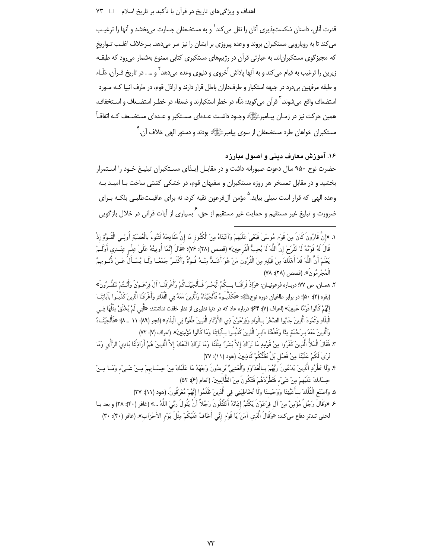قدرت آنان، داستان شکست پذیری آنان را نقل می کند<sup>\</sup> و به مستضعفان جسارت می بخشد و آنها را ترغیب می کند تا به رویارویی مستکبران بروند و وعده پیروزی بر ایشان را نیز سر میدهد. بـرخلاف اغلـب تـواریخ که مجیزگوی مستکبران|ند. به عبارتی قرآن در رژیمهای مستکبری کتابی ممنوع بهشمار میرود که طبقـه .<br>زیرین را ترغیب به قیام می کند و به آنها یاداش اُخروی و دنبوی وعده می دهد <sup>۲</sup> و … . در تاریخ قـرآن، مَلَـاء و طبقه مرفهین بی درد در جبهه استکبار و طرف(اران باطل قرار دارند و ارادل قوم، در طرف انبیا کـه مـورد استضعاف واقع مے شوند. <sup>۳</sup> قرآن مے گوید: مَلَاء در خطر استکبارند و ضعفاء در خطے استضـعاف و اســتخفاف، همین حرکت نیز در زمـان پیـامبرﷺ وجـود داشـت عـدهای مسـتکبر و عـدهای مستضـعف کـه اتفاقـاً مستکبران خواهان طرد مستضعفان از سوی پیامبرﷺ بودند و دستور اله<sub>می</sub> خلاف آن.<sup>۴</sup>

۱۶. آموزش معارف دینی و اصول مبارزه حضرت نوح ۹۵۰ سال دعوت صبورانه داشت و در مقابـل إيـذاي مسـتكبران تبليـغ خـود را اسـتمرار بخشید و در مقابل تمسخر هر روزه مستکبران و سفیهان قوم، در خشکی کشتی ساخت بـا امیـد بـه وعده الهی که قرار است سیلی بیاید.<sup>۵</sup> مؤمن آلفرعون تقیه کرد، نه برای عافیـتطلبـی بلکـه بـرای ضرورت و تبلیغ غیر مستقیم و حمایت غیر مستقیم از حق<sup>۶</sup> بسیاری از آیات قرانی در خلال بازگویی

- ١. «إنَّ قَارُونَ كَانَ مِنْ قَوْمٍ مُوسَىٰ فَبَغَىٰ عَلَيْهِمْ وَآتَيْنَاهُ مِنَ الْكُنُوزِ مَا إنَّ مَفَاتِحَهُ لَتَنُوءُ بالْعُصْبَةِ أُولِــى الْقُـوَّةِ إذْ قَالَ لَهُ قَوْمُهُ لَا تَفْرَحْ إِنَّ اللَّهَ لَا يُحِبُّ الْفَرحِينَ» (قصص (٢٨): ٧۶)؛ «قَالَ إِنَّمَا أُوتِيتُهُ عَلَىٰ عِلْم عِنْـدِى أَوَلَــمْ يَعْلَمْ أَنَّ اللَّهَ قَدْ أَهْلَكَ مِنْ قَبْلِهِ مِنَ الْقُرُونِ مَنْ هُوَ أَشَـدُّ مِنْـهُ قُـوَّةً وأَكْثـرُ جَمْعًـا وَلَـا يُسْـأَلُ عَـنْ ذُنُـوبهمُ الْمُجْرِ مُونَ». (قصص (٢٨): ٧٨)
- ٢. ههبان، ص ٩٧؛ دربياره فرعونييان: «وَإِذْ فَرَقْنَيَا بِسِكُمُ الْبَحْسِرَ فَسَأَنْجِيَّنَياكُمْ وأَغْرِقْنَيَا آلَ فِرْعَسُونَ وَأَنْسَمُ تَنْظُيرُونَ» (بقره (٢): ٥٠)؛ در برابر طاغيان دوره نوح،ﷺ: «فَكَذَّبُوهُ فَأَنْجِيَّنَاهُ واَلَّذِينَ مَعَهُ فِي الْفُلْكِ وَأَغْرَقْنَا الَّذِينَ كَذَّبُـوا بآيَاتِنَــا إِنَّهُمْ كَأْنُوا قَوْمًا عَمِينَ» (اعراف (٧): ۶۴٪ درباره عاد كه در دنيا نظيري از نظر خلقت نداشتند: «أَتَبَى لَمْ يُخْلَقْ مِثْلُهَا فِـي الْبِلَادِ وَ ثَمُودَ الَّذِينَ جَابُوا الصَّخْرَ بِـالْواَدِ وَفِرْعَوْنَ ذي الأَوْ تَاد الَّذِينَ طَغَوْا في الْبلَاد» (فجر (٨٩): ١١ \_٨)؛ «فَأَنْجَيْنَـاهُ وَالَّذِينَ مَعَهُ بِـرَحْمَةِ مِنَّا وَقَطَعْنَا دَابِـرَ الَّذِينَ كَذَّبُـوا بِـآيَاتِنَا وَمَا كَأنُوا مُؤْمنِينَ». (اعراف (٧: ٧٢)
- ٣. فَقَالَ الْمَلأُ الَّذِينَ كَفَرُوا مِنْ قَوْمِهِ مَا نَرَاكَ إلاَّ بَشَرًا مِثْلَنَا وَمَا نَرَاكَ اتَّبَعَكَ إلاَّ الَّذِينَ هُمْ أَرَاذِلُنَا بَادِيَ الرَّأْيِ وَمَا نَرَىٰ لَكُمْ عَلَيْنَا مِنْ فَضْلِ بَلْ نَظُنُّكُمْ كَاذِبِينَ. (هود (١١): ٢٧)
- ۴. وَلَا تَطْرُدِ الَّذِينَ يَدْعُونَ رَبَّهُمْ بِـالْغَدَاوَةِ وَالْعَشِيِّ يُرِيدُونَ وَجْهَهُ مَا عَلَيْكَ مِنْ حِسَــابهمْ مِـنْ شَــىْء وَمَــا مِـنْ حِسَابِكَ عَلَيْهِمْ مِنْ شَيْءٍ فَتَطْرُدَهُمْ فَتَكُونَ مِنَ الظَّالِمِينَ. (انعام (۶): ۵۲)
	- ۵. وَاصْنَعِ الْفُلْكَ بِـأَعْيُنِنَا وَوَحْيـنَا وَلَا تُخَاطِبْنِي فِي الَّذِينَ ظَلَمُوا إِنَّهُمْ مُغْرَفُونَ (هود (١١): ٣٧)
- ع «وَقَالَ رَجُلٌ مُؤْمِنٌ مِنْ آل فِرْعَوْنَ يَكْتُمُ إِيمَانَهُ أَتَقْتُلُونَ رَجُلاً أَنْ يَقُولَ ربِّيَ اللَّهُ ...» (غافر (۴۰): ۲۸) و بعد بــا لحني تندتر دفاع مي كند: «وَقَالَ الَّذِي آمَنَ يَا قَوْمِ إِنِّي أَخَافُ عَلَيْكُمْ مِثْلَ يَوْمِ الأَحْزَابِ». (غافر (۴۰): ۳۰)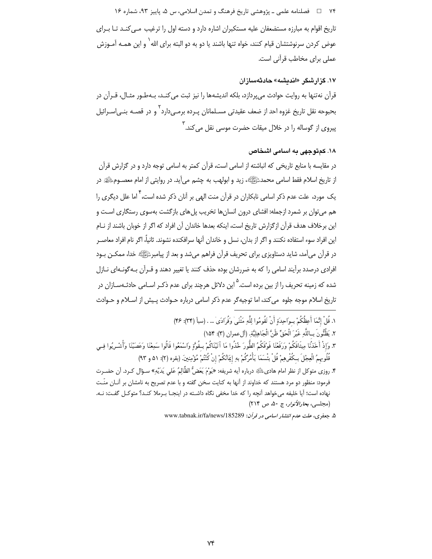۷۴ فصلنامه علمي ـ پژوهشي تاريخ فرهنگ و تمدن اسلامي، س ۵، پاييز ۹۳، شماره ۱۶ تاریخ اقوام به مبارزه مستضعفان علیه مستکبران اشاره دارد و دسته اول را ترغیب مـی کنـد تـا بـرای عوض کردن سرنوشتشان قیام کنند، خواه تنها باشند یا دو به دو البته برای الله ٔ و این همـه آمـوزش عملی برای مخاطب قرآنی است.

#### ۱۷. گزارشگر «اندیشه» حادثهسازان

قرآن نهتنها به روايت حوادث مي پردازد، بلكه انديشهها را نيز ثبت مي كنـد، بـهطـور مثـال، قـرآن در بحبوحه نقل تاريخ غزوه احد از ضعف عقيدتي مسـلمانان يـرده برمـي‹دارد` و در قصـه بنـي|سـرائيل پیروی از گوساله را در خلال میقات حضرت موسی نقل می کند.<sup>۳</sup>

# ۱۸. کمتوجهی به اسامی اشخاص

در مقایسه با منابع تاریخی که انباشته از اسامی است، قرآن کمتر به اسامی توجه دارد و در گزارش قرآن از تاريخ اسلام فقط اسامي محمد ﷺ»، زيد و ابولهب به چشم مي]يد. در روايتي از امام معصــومﷺ در یک مورد، علت عدم ذکر اسامی نابکاران در قرآن منت الهی بر آنان ذکر شده است، <sup>۴</sup> اما علل دیگری را هم می توان بر شمرد ازجمله: افشای درون انسانها تخریب پلهای بازگشت بهسوی رستگاری است و این برخلاف هدف قرآن ازگزارش تاریخ است، اینکه بعدها خاندان آن افراد که اگر از خوبان باشند از نـام این افراد سوء استفاده نکنند و اگر از بدان، نسل و خاندان آنها سرافکنده نشوند. ثانیاً، اگر نام افراد معاصـر در قرآن میآمد، شاید دستاویزی برای تحریف قرآن فراهم میشد و بعد از پیامبرﷺ خدا، ممکـن بـود افرادی درصدد برآیند اسامی را که به ضررشان بوده حذف کنند یا تغییر دهند و قـرآن بـهگونـهای نـازل شده که زمینه تحریف را از بین برده است.<sup>۵</sup> این دلائل هرچند برای عدم ذکـر اسـامی حادثـهسـازان در تاریخ اسلام موجه جلوه می کند، اما توجیهگر عدم ذکر اسامی درباره حـوادث پـیش از اسـلام و حـوادث

- ١. قُلْ إِنَّمَا أَعظُكُمْ بِ1َحِدَةِ أَنْ تَقُومُوا لِلَّهِ مَثْنَهِ ٰوفُوَ ادَى ٰ … . (سأ (٣۴): ۴۶) ٢. يَظُنُّونَ بِبِاللَّهِ غَيْرَ الْحَقِّ ظَنَّ الْجَاهِلِيَّةِ. (آلءمران (٣): ١۵۴) ٣. وَإِذْ أَخَذْنَا مِيثَاقَكُمْ وَرَفَعْنَا فَوْقَكُمُ الطُّورَ خُذُوا مَا آتَيْنَاكُمْ بِمَقُوَّةٍ وَاسْمَعُوا قَالُوا سَمِعْنَا وَعَصَيْنَا وَأَشْـرِبُوا فِـي قُلُوبهمُ الْعِجْلَ بِكُفْرِهِمْ قُلْ بِئْسَمَا يَأْمُرَكُمْ بِهِ إِيَانُكُمْ إِنْ كُنْتُمْ مُؤْمِنِينَ (بقره (٢): ٥١ و ٩٣) ۴. روزي متوكل از نظر امام هاديﷺ درباره أيه شريفه: «يَوْمَ يَعَضُّ الظَّالِمُ عَلى يَدَيْهِ» سـؤال كـرد. أن حضـرت
- فرمود: منظور دو مرد هستند که خداوند از آنها به کنایت سخن گفته و با عدم تصریح به نامشان بر آنــان منّـت نهاده است؛ آیا خلیفه می خواهد آنچه را که خدا مخفی نگاه داشـته در اینجـا بـرملا کنـد؟ متوکـل گفـت: نـه. (مجلسي، بحارالأنوار، ج ۵۰، ص ٢١۴)

۵. جعفری، علت عدم انتشار اسامی در قرآن: www.tabnak.ir/fa/news/185289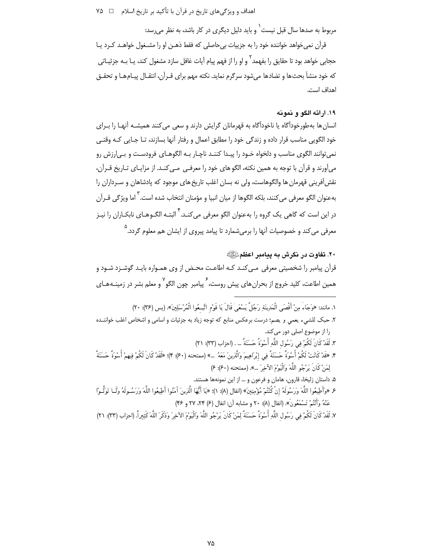اهداف و ویژگیهای تاریخ در قرآن با تأکید بر تاریخ اسلام ۔ □ ۷۵

مربوط به صدها سال قبل نیست ٰ و باید دلیل دیگری در کار باشد، به نظر می رسد:

قرآن نمی خواهد خواننده خود را به جزییات بی حاصلی که فقط ذهـن او را مشـغول خواهــد کــرد یــا حجابی خواهد بود تا حقایق را بفهمد<sup>۲</sup> و او را از فهم پیام آیات غافل سازد مشغول کند، پــا بــه جزئیــاتی که خود منشأ بحثها و تضادها می شود سرگرم نماید. نکته مهم برای قـرآن، انتقـال پیـامهـا و تحقـق اهداف است.

# ١٩. ارائه الكو و نمونه

انسان ها بهطورخودآگاه یا ناخودآگاه به قهرمانان گرایش دارند و سعی می کنند همیشـه آنهـا را بـرای خود الگویی مناسب قرار داده و زندگی خود را مطابق اعمال و رفتار آنها بسازند، تـا جـایی کـه وقتـی نمي توانند الگوي مناسب و دلخواه خـود را پيـدا كننـد ناچـار بـه الگوهـاي فرودسـت و بـي|رزش رو می آورند و قرآن با توجه به همین نکته، الگو های خود را معرفـی ٍ مـی کنـد. از مزایـای تـاریخ قـرآن، نقش[فرینی قهرمان ها والگوهاست، ولی نه بسان اغلب تاریخ های موجود که پادشاهان و سـرداران را بهعنوان الگو معرفي مي كنند، بلكه الگوها از ميان انبيا و مؤمنان انتخاب شده است. ٰ اما ويژگي قــرآن در این است که گاهی یک گروه را بهعنوان الگو معرفی میکنـد.<sup>۴</sup> البتـه الگـوهـای نابکـاران ,ا نیـز معرفی می *ک*ند و خصوصیات آنها را برمی شمارد تا پیامد پیروی از ایشان هم معلوم گردد.<sup>۵</sup>

۲۰. تفاوت در نگرش به پیامبر اعظمﷺ قرآن پیامبر را شخصیتی معرفی مے کنـد کـه اطاعـت محـض از وی همـواره بایـد گوشـزد شـود و همین اطاعت، کلید خروج از بحران های پیش روست، <sup>۶</sup> پیامبر چون الگو ۲ و معلم بشر در زمینـههـای

١. مانند: «وَجَاءُ مِنْ أَقْصَى الْمَدِينَةِ رَجُلٌ يَسْعَىٰ قَالَ يَا قَوْمِ اتَّبِعُوا الْمُرْسَلِينَ». (يس (٣۶: ٢٠) ۲. حبک للشيء يعمي و يصم؛ درست برعکس منابع که توجه زياد به جزئيات و اسامي و اشخاص اغلب خواننــده را از موضوع اصلی دور می کند. ٣. لَقَدْ كَانَ لَكُمْ فِي رَسُول اللَّهِ أُسْوَةً حَسَنَةً ... . (احزاب (٣٣): ٢١) ۴. «قَدْ كَانَتْ لَكُمْ أُسْوَةٌ حَسَنَةٌ فِي إِبْرَاهِيمَ وَالَّذِينَ مَعَهُ …» (ممتحنه (۶۰): ۴)؛ «لَقَدْ كَانَ لَكُمْ فِيهِمْ أُسْوَةٌ حَسَنَةٌ لِمَنْ كَانَ يَرْجُو اللَّهَ وَالْيَوْمَ الآخِرَ …». (ممتحنه (۶۰): ۶) ۵. داستان زلیخا، قارون، هامان و فرعون و … از این نمونهها هستند. ع «وَأَطِيعُوا اللَّهَ وَرَسُولَهُ إنْ كُنْتُمْ مُؤْمِنِينَ» (انفال (٨): ١)؛ «يَا أَيُّهَا الَّذِينَ آمَنُوا أطِيعُوا اللَّهَ وَرَسُـولَهُ وَلَــا تَوَلَّــوْا عَنْهُ وَأَنْتُمْ تَسْمَعُونَ». (انفال (٨): ٢٠ و مشابه آن: انفال (۶) ٢۴، ٢٧ و ۴۶)

٧. لَقَدْ كَانَ لَكُمْ فِي رَسُولِ اللَّهِ أُسْوَةٌ حَسَنَةٌ لِمَنْ كَانَ يَرْجُو اللَّهَ وَالْيَوْمَ الآخِرَ وَذَكَرَ اللَّهَ كَثِيراً. (احزاب (٣٣): ٢١)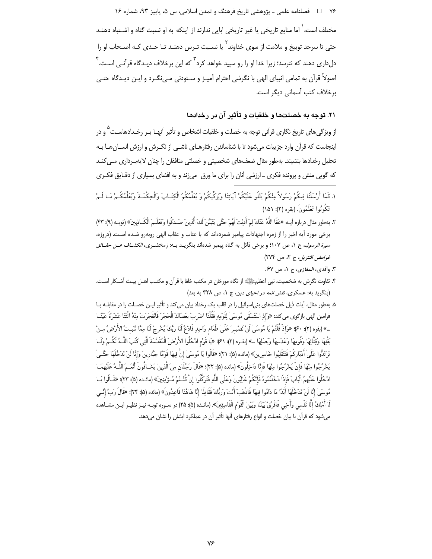۷۶ □ فصلنامه علمي ـ پژوهشي تاريخ فرهنگ و تمدن اسلامي، س ۵، پاييز ۹۳، شماره ۱۶

مختلف است، <sup>۱</sup> اما منابع تاریخی یا غیر تاریخی ابایی ندارند از اینکه به او نسبت گناه و اشـتباه دهنـد حتی تا سرحد توبیخ و ملامت از سوی خداوند<sup>۲</sup> یا نسـبت تـرس دهنـد تـا حـدی کـه اصـحاب او را دل(ای دهند که نترسد؛ زیرا خدا او را رو سیید خواهد کرد <sup>۳</sup> که این برخلاف دیـدگاه قرآنـی اسـت. <sup>۴</sup> اصولاً قرآن به تمامی انبیای الهی با نگرشی احترام آمیـز و سـتودنی مـی نگـرد و ایـن دیـدگاه حتـی برخلاف كتب أسمانى ديگر است.

# ۲۱. توجه به خصلتها و خلقیات و تأثیر آن در رخدادها

از ویژگیِهای تاریخ نگاری قرآنی توجه به خصلت و خلقیات اشخاص و تأثیر آنهـا بـر رخـدادهاسـت <sup>۵</sup> و در اینجاست که قرآن وارد جزییات می شود تا با شناساندن رفتارهـای ناشـی از نگـرش و ارزش انسـان هـا بـه تحلیل رخدادها بنشیند. بهطور مثال ضعفهای شخصیتی و خصلتی منافقان را چنان لایهبرداری مبی کنـد که گویی منش و پرونده فکری ـ ارزشی آنان را برای ما ورق ٍ میزند و به افشای بسیاری از دقـایق فکـری

- ١. كَمَا أَرْسَلْنَا فِيكُمْ رَسُولاً مِنْكُمْ يَتْلُو عَلَيْكُمْ آيَاتِنَا وَيُزَكِّيكُمْ وَ يُعَلِّمُكُم الْكِتَـابَ وَالْجِكْمَـةَ وَيُعَلِّمُكُـمْ مَـا لَـمْ تَكُونُوا تَعْلَمُونَ. (بقره (٢): ١۵١)
- ٢. بِهِطورِ مِثالِ دربارِه آيـه «عَفَا اللَّهُ عَنْكَ لِمَ أَذِنْتَ لَهُمْ حَتَّىٰ يَتَبَيَّنَ لَكَ الَّذِينَ صَـدَقُوا وَتَعْلَـمَ الْكَـاذِينَ» (توبـه (٩): ٣٣) برخی مورد آیه اخیر را از زمره اجتهادات پیامبر شمردهاند که با عتاب و عقاب الهی روبهرو شـده اسـت. (دروزه، سی*رة الرسول*، ج ١، ص ١٠٧؛ و برخي قائل به گناه پیمبر شدهاند بنگریـد بــه: زمخشــری، *الکشــاف عــن حقــائق* غوامض التنزيل، ج ٢، ص ٢٧۴)

٣. واقدى، *المغازى*، ج ١، ص ۶۷.

- ۴. تفاوت نگرش به شخصیت، نبی اعظم ﷺ از نگاه مورخان در مکتب خلفا با قرآن و مکتـب اهــل بیـت آشــکار اســت. (بنگرید به: عسکری، *نقش ائمه در احیای دین*، ج ۱، ص ۳۲۸ به بعد)
- ۵. بهطور مثال، آیات ذیل خصلتهای بنی|سرائیل را در قالب یک رخداد بیان می کند و تأثیر ایـن خصـلت را در مقابلـه بـا فرامين الهي بازگوي ميكند: «وَإِذِ اسْتَسْقَىٰ مُوسَىٰ لِقَوْمِهِ فَقُلْنَا اضْرِبْ بِعَصَاكَ الْحَجَرَ فَانْفَجَرَتْ مِنْهُ اثْنَتَا عَشْرَةَ عَيْنًــا …» (بقره (٢): ٤٠)؛ «وَإِذْ قُلْتُمْ يَا مُوسَىٰ لَنْ نَصْبِـرَ عَلَىٰ طَعَام وَاحِدٍ فَادْعُ لَنَا ربَّكَ يُخْرجْ لَنَا مِمَّا تُنْبِـتُ الأَرْضُ مِـنْ بَقْلِهَا وَقِثَّائِهَا وَفُومِهَا وَعَدَسِهَا وبَصَلِهَا …» (بقـره (٢): ٤١)؛ «يَا قَوْم ادْخُلُوا الأَرْضَ الْمُقَدَّسَةَ الَّتِي كَتَبَ اللَّـهُ لَكُـمْ وَلَــا تَرْتَدُّوا عَلَىٰ أَدْبَارِكُمْ فَتَنْقَلِبُوا خَاسِرِينَ» (مائده (۵): ۲۱)؛ «قَالُوا يَا مُوسَىٰ إِنَّ فِيهَا قَوْمًا جَبَّارِينَ وَإِنَّا لَنْ نَدْخُلَهَا حَتَّــىٰ يَخْرُجُوا مِنْهَا فَإِنْ يَخْرُجُوا مِنْهَا فَإِنَّا دَاخِلُونَ» (مائده (۵): ٢٢)؛ «قَالَ رَجُلَانِ مِنَ الَّذِينَ يَخَـافُونَ أَنْعَـمَ اللَّــهُ عَلَيْهِمَــا ادْخُلُوا عَلَيْهِمُ الْبَابَ فَإِذَا دَخَلْتُمُوهُ فَإِنَّكُمْ غَالِبُونَ وَعَلَى اللَّهِ فَتَوَكَّلُوا إنْ كُنْـتُمْ مُـؤْمِنِينَ» (مائـده (۵): ۲۳)؛ «قَـالُوا يَــا مُوسَىٰ إِنَّا لَنْ نَدْخُلَهَا أَبَدًا مَا دَامُوا فِيهَا فَاذْهَبْ أَنْتَ وَرَبُّكَ فَقَاتِلَا إِنَّا هَاهُنَا قَاعِدُونَ» (مائده (۵): ۲۴)؛ «قَالَ رَبِّ إِنِّسَى لَا أَمْلِكُ إِلَّا نَفْسى وَأَخِى فَافْرُقُ بَيْنَنَا وبَيْنَ الْقَوْمِ الْفَاسِقِينَ». (مائـده (۵): ۲۵) در سـوره توبـه نيـز نظيـر ايـن مشــاهده می شود که قرآن با بیان خصلت و انواع رفتارهای آنها تأثیر آن در عملکرد ایشان را نشان می دهد.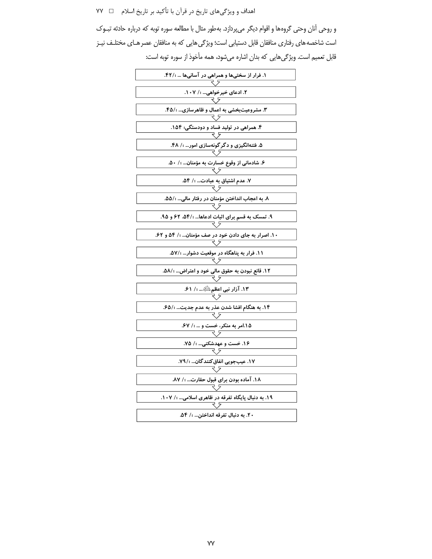اهداف و ویژگیهای تاریخ در قرآن با تأکید بر تاریخ اسلام ⊥ ∨۷

و روحي آنان وحتي گروهها و اقوام ديگر ميپردازد. بهطور مثال با مطالعه سوره توبه كه درباره حادثه تبـوک است شاخصه های رفتاری منافقان قابل دستیابی است؛ ویژگی هایی که به منافقان عصر هـای مختلـف نیـز قابل تعمیم است. ویژگیهایی که بدان اشاره میشود، همه مأخوذ از سوره توبه است:

| ۱. فرار از سختیها و همراهی در آسانیها  ؛/۴۲.        |  |  |  |  |  |
|-----------------------------------------------------|--|--|--|--|--|
|                                                     |  |  |  |  |  |
| ۲. ادعای خیرخواهی ؛/ ۰۷.                            |  |  |  |  |  |
|                                                     |  |  |  |  |  |
| ۳. مشروعیتبخشی به اعمال و ظاهرسازی… ؛/۴۵.           |  |  |  |  |  |
|                                                     |  |  |  |  |  |
| ۴. همراهی در تولید فساد و دودستگی؛ ۱۵۴.             |  |  |  |  |  |
|                                                     |  |  |  |  |  |
| ۵. فتنهانگیزی و دگر گونهسازی امور ؛/ ۴۸.            |  |  |  |  |  |
|                                                     |  |  |  |  |  |
| ۶. شادمانی از وقوع خسارت به مؤمنان ؛/ ۵۰.           |  |  |  |  |  |
|                                                     |  |  |  |  |  |
| ۷. عدم اشتیاق به عبادت ؛/ ۵۴.                       |  |  |  |  |  |
|                                                     |  |  |  |  |  |
| ۸. به اعجاب انداختن مؤمنان در رفتار مالی… ؛/۵۵.     |  |  |  |  |  |
|                                                     |  |  |  |  |  |
| ۹. تمسک به قسم برای اثبات ادعاها ؛/۵۴، ۶۲ و ۹۵.     |  |  |  |  |  |
|                                                     |  |  |  |  |  |
| ۱۰. اصرار به جای دادن خود در صف مؤمنان… ؛/ ۵۴ و ۶۲. |  |  |  |  |  |
|                                                     |  |  |  |  |  |
| ۱۱. فرار به پناهگاه در موقعیت دشوار ؛/۵۷.           |  |  |  |  |  |
|                                                     |  |  |  |  |  |
| ۱۲. قانع نبودن به حقوق مالی خود و اعتراض ؛/۵۸.      |  |  |  |  |  |
|                                                     |  |  |  |  |  |
| ۱۳. آزار نبی اعظم اللَّهِ  ؛/ ۶۱.                   |  |  |  |  |  |
|                                                     |  |  |  |  |  |
| ۱۴. به هنگام افشا شدن عذر به عدم جدیت ؛/۶۵.         |  |  |  |  |  |
|                                                     |  |  |  |  |  |
| ۰۶۷ امر به منکر، خست و  ؛/ ۶۷.<br>۲۶                |  |  |  |  |  |
|                                                     |  |  |  |  |  |
| ۰۱۶ خست و عهدشکنی ؛/ ۷۵.<br>ح ج                     |  |  |  |  |  |
|                                                     |  |  |  |  |  |
| ١٧. عيبجويي انفاق كنند گان ؛/٧٩.                    |  |  |  |  |  |
|                                                     |  |  |  |  |  |
| ۱۸. آماده بودن برای قبول حقارت… ؛/ ۸۷.              |  |  |  |  |  |
|                                                     |  |  |  |  |  |
| ۱۹. به دنبال پایگاه تفرقه در ظاهری اسلامی ؛/ ۱۰۷.   |  |  |  |  |  |
|                                                     |  |  |  |  |  |
| ۲۰. به دنبال تفرقه انداختن ؛/ ۵۴.                   |  |  |  |  |  |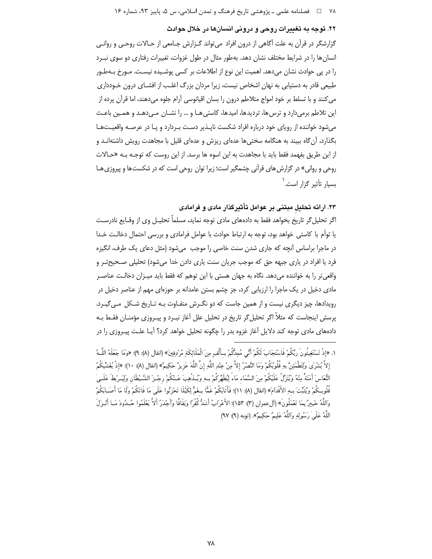#### ۲۲. توجه به تغییرات روحی و درونی انسانها در خلال حوادث

گزارشگر در قرآن به علت آگاهی از درون افراد می تواند گـزارش جـامعی از حـالات روحـی و روانـی انسان ها را در شرایط مختلف نشان دهد. بهطور مثال در طول غزوات، تغییرات رفتاری دو سوی نبـرد را در پی حوادث نشان میدهد. اهمیت این نوع از اطلاعات بر کسی پوشـیده نیسـت. مـورخ بـهطـور طبیعی قادر به دستیابی به نهان اشخاص نیست، زیرا مردان بزرگ اغلب از افشـای درون خـودداری می کنند و با تسلط بر خود امواج متلاطم درون را بسان اقیانوسی آرام جلوه میدهند، اما قرآن پرده از این تلاطم برمیدارد و ترس ها، تردیدها، امیدها، کاستی هـا و … را نشـان مـی دهـد و همـین باعـث میشود خواننده از رویای خود درباره افراد شکست ناپـذیر دسـت بـردارد و پـا در عرصـه واقعیـتهـا بگذارد، آن گاه ببیند به هنگامه سختی ها عدهای ریزش و عدهای قلیل با مجاهدت رویش داشتهانـد و از این طریق بفهمد فقط باید با مجاهدت به این اسوه ها برسد. از این روست که توجـه بـه «حـالات روحي و رواني» در گزارش هاي قرآني چشمگير است؛ زيرا توان روحي است كه در شكستها و پيروزي هـا بسیار تأثیر گزار است.<sup>۱</sup>

۲۳. ارائه تحلیل مبتنی بر عوامل تأثیرگذار مادی و فرامادی

اگر تحلیل گر تاریخ بخواهد فقط به دادههای مادی توجه نماید، مسلماً تحلیـل وی از وقـایع نادرسـت یا توأم با کاستی خواهد بود، توجه به ارتباط حوادث با عوامل فرامادی و بررسی احتمال دخالـت خـدا در ماجرا براساس آنچه که جاری شدن سنت خاصی را موجب ً میشود (مثل دعای یک طرف، انگیزه فرد یا افراد در پاری جبهه حق که موجب جریان سنت پاری دادن خدا می شود) تحلیلی صـحیحتـر و واقعیتر را به خواننده میدهد. نگاه به جهان هستی با این توهم که فقط باید میـزان دخالـت عناصـر مادی دخیل در یک ماجرا را ارزیابی کرد، جز چشم بستن عامدانه بر حوزهای مهم از عناصر دخیل در رویدادها، چیز دیگری نیست و از همین جاست که دو نگـرش متفـاوت بـه تـاریخ شـکل مـی گیـرد. پرسش اینجاست که مثلاً اگر تحلیل¢ تاریخ در تحلیل علل آغاز نبـرد و پیـروزی مؤمنـان فقـط بـه دادههای مادی توجه کند دلایل آغاز غزوه بدر را چگونه تحلیل خواهد کرد؟ آیـا علـت پیـروزی را در

١. «إذْ تَسْتَغِيثُونَ ربَّكُمْ فَاسْتَجَابَ لَكُمْ أَنِّي مُمِدُّكُمْ بِـأَلْفٍ مِنَ الْمَلَائِكَةِ مُرْدِفِينَ» (انفال (٨): ٩)؛ «وَمَا جَعَلَهُ اللَّـهُ إِلاَّ بُشْرَىٰ ولَتَطْمَئِنَّ بِهِ قُلُوبُكُمْ وَمَا النَّصْرُ إِلاَّ مِنْ عِنْدِ اللَّهِ إِنَّ اللَّهَ عَزِ يزٌ حَكِيمٌ» (انفال (٨): ١٠)؛ «إذْ يُغَشِّيكُمُ النُّعَاسَ أَمَنَةً مِنْهُ وَيُنَزِّلُ عَلَيْكُمْ مِنَ السَّمَاء مَاءً لِيُطَهِّرَكُمْ بِهِ وَيُسْذِهِبَ عَسْكُمْ رجْـزَ الشَّيْطَان وَلِيَـرْبطَ عَلَـى قُلُوبِـكُمْ ويُثبِّتَ بِـهِ الأَقْدَامَ» (انفال (٨): ١١)؛ فَأَثَابَكُمْ غَمًّا بِـغَمٍّ لِكَيْلَا تَحْزَنُوا عَلَىٰ مَا فَاتَكُمْ وَلَا مَا أَصَــابَكُمْ وَاللَّهُ خَبِيرٌ بِمَا تَعْمَلُونَ» (آلِ عمران (٣): ٥٣١)؛ الأَعْرَابُ أَشَدُّ كُفْرًا وَنِفَاقًا وَأَجْدَرُ أَلاَّ يَعْلَمُوا حُـدُودَ مَــا أَنْـزِلَ اللَّهُ عَلَىٰ رَسُولِهِ وَاللَّهُ عَلِيمٌ حَكِيمٌ». (توبه (٩): ٩٧)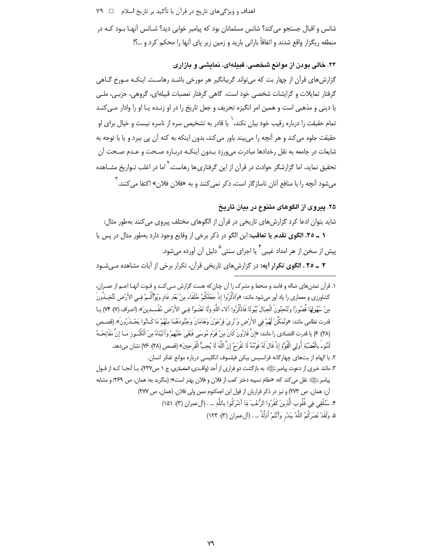اهداف و ویژگیهای تاریخ در قرآن با تأکید بر تاریخ اسلام ⊥ ۷۹

شانس و اقبال جستجو می *کند؟* شانس مسلمانان بود که پیامبر خوابی دید؟ شـانس آنهـا بـود کـه در منطقه ریگزار واقع شدند و اتفاقاً بارانی بارید و زمین زیر پای آنها را محکم کرد و …؟!

#### ۲۴. خالی بودن از موانع شخصی، قبیلهای، نمایشی و بازاری

گزارش های قرآن از چهار بت که می¤واند گریبانگیر هر مورخی باشـد رهاسـت. اینکـه مـورخ گـاهی گرفتار تمایلات و گرایشات شخصی خود است، گاهی گرفتار تعصبات قبیلهای، گروهی، حزبی، ملبی یا دینی و مذهبی است و همین امر انگیزه تحریف و جعل تاریخ را در او زنـده یـا او را وادار مـی کنـد تمام حقیقت را درباره رقیب خود بیان نکند،<sup>\</sup> یا قادر به تشخیص سره از ناسره نیست و خیال برای او حقيقت جلوه مي كند و هر آنچه را مي بيند باور مي كند، بدون اينكه به كنه آن يي ببرد و يا با توجه به شایعات در جامعه به نقل رخدادها مبادرت می9رزد بـدون اینکـه دربـاره صـحت و عـدم صـحت آن تحقیق نماید، اما گزارشگر حوادث در قرآن از این گرفتاری ها رهاست، <sup>۲</sup> اما در اغلب تـواریخ مشــاهده می شود آنچه را با منافع آنان ناسازگار است، ذکر نمی کنند و به «فلان فلان» اکتفا می کنند. <sup>۳</sup>

# ۲۵. پیروی از الگوهای متنوع در بیان تاریخ

شاید بتوان ادعا کرد گزارشهای تاریخی در قرآن از الگوهای مختلف پیروی می کنند بهطور مثال: **١ \_ ٢٥. الگوى تقدم يا تعاقب:** اين الگو در ذكر برخي از وقايع وجود دارد بهطور مثال در پس يا

ِیش از سخن از هر امداد غیبی ٔ یا اجرای سنتی <sup>۵</sup> دلیل آن آورده م*ی* شود.

۲ ــ ۲٥ ـ الگوی تکرار آیه: در گزارش های تاریخی قرآن، تکرار برخی از آیات مشاهده مے شـود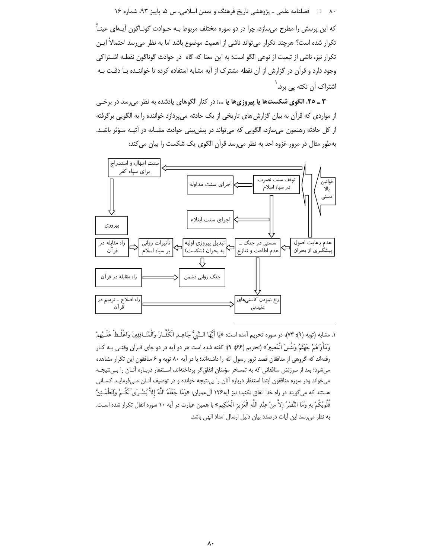۸۰٪ ها فصلنامه علمی ـ پژوهشی تاریخ فرهنگ و تمدن اسلامی، س ۵، پاییز ۹۳، شماره ۱۶

که این پرسش را مطرح میسازد، چرا در دو سوره مختلف مربوط بـه حـوادث گونـاگون آیـهای عینـاً تكرار شده است؟ هرچند تكرار مىتواند ناشى از اهميت موضوع باشد اما به نظر مىرسد احتمالاً ايـن تكرار نيز، ناشى از تبعيت از نوعى الگو است؛ به اين معنا كه گاه در حوادث گوناگون نقطـه اشـتراكى وجود دارد و قرآن در گزارش از آن نقطه مشترک از آیه مشابه استفاده کرده تا خواننـده بـا دقـت بـه اشتراک آن نکته یی برد. ٰ

۴ ـ ۲۰. الگوی شکستها یا پیروزیها یا …: در کنار الگوهای یادشده به نظر می رسد در برخبی از مواردی که قرآن به بیان گزارش های تاریخی از یک حادثه میپردازد خواننده را به الگویی برگرفته از کل حادثه رهنمون می سازد، الگویی که می تواند در پیش بینی حوادث مشـابه در آتیـه مـؤثر باشـد. بهطور مثال در مرور غزوه احد به نظر می رسد قرآن الگوی یک شکست را بیان می کند:



١. مشابه (توبه (٩): ٧٣)، در سوره تحريم آمده است: «يَا أَيُّهَا الـنَّبِيُّ جَاهــد الْكُفَّـارَ وَالْمُنَـافقينَ واغْلُـظْ عَلَــيْهِمْ وَمَأْواهُمْ جَهَنَّمُ وَبَئْسَ الْمَصِيرُ» (تحريم (۶۶): ۹)؛ گفته شده است هر دو آيه در دو جاي قـرآن وقتـي بـه كـار رفتهاند که گروهی از منافقان قصد ترور رسول الله را داشتهاند؛ یا در آیه ۸۰ توبه و ۶ منافقون این تکرار مشاهده می شود؛ بعد از سرزنش منافقانی که به تمسخر مؤمنان انفاق گر پرداختهاند، اسـتغفار دربـاره آنــان را بــیiتیجــه میخواند ودر سوره منافقون ابتدا استغفار درباره آنان را بیiتیجه خوانده و در توصیف آنـان مـیفرمایـد کسـانی هستند كه مي¢ويند در راه خدا انفاق نكنيد؛ نيز آيه1۲۶ آلءمران: «وَمَا جَعَلَهُ اللَّهُ إلاَّ بُشْـرَىٰ لَكُــمْ ولِتَطْمَـئِنَّ قُلُوبُكُمْ بهِ وَمَا النَّصْرُ إلاَّ مِنْ عِنْدِ اللَّهِ الْعَزِيزِ الْحَكِيمِ» با همين عبارت در أيه ١٠ سوره انفال تكرار شده اسـت. به نظر می رسد این آیات درصدد بیان دلیل ارسال امداد الهی باشد.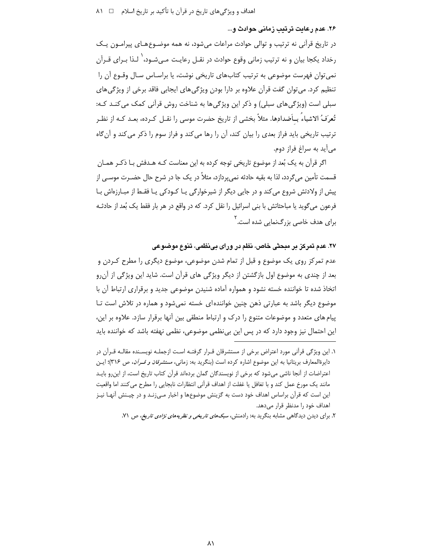# ۲۶. عدم رعايت ترتيب زماني حوادث و...

در تاریخ قرآنی نه ترتیب و توالی حوادث مراعات می شود، نه همه موضـوعهـای پیرامـون یـک رخداد یکجا بیان و نه ترتیب زمانی وقوع حوادث در نقـل رعایـت مـی.شـود، ٰ لـذا بـرای قـرآن نمی توان فهرست موضوعی به ترتیب کتابهای تاریخی نوشت، یا براسـاس سـال وقـوع آن را تنظیم کرد. می توان گفت قرآن علاوه بر دارا بودن ویژگیهای ایجابی فاقد برخی از ویژگیهای سبلي است (ویژگیهای سبلي) و ذکر این ویژگیها به شناخت روش قرآنی کمک می کنـد کـه: تُعرَفُ الاشياءُ بِــأضدادِها. مثلاً بخشى از تاريخ حضرت موسى را نقــل كــرده، بعــد كـه از نظـر ترتیب تاریخی باید فراز بعدی را بیان کند، آن را رها می کند و فراز سوم را ذکر می کند و آن گاه مي آيد به سراغ فراز دوم.

اگر قرآن به یک بُعد از موضوع تاریخی توجه کرده به این معناست کـه هـدفش بـا ذکـر همـان قسمت تأمین میگردد، لذا به بقیه حادثه نمی،پردازد، مثلاً در یک جا در شرح حال حضـرت موسـی از پیش از ولادتش شروع می کند و در جایی دیگر از شیرخوارگی یـا کـودکی یـا فقـط از مبـارزهاش بـا فرعون میگوید یا مباحثاتش با بنی اسرائیل را نقل کرد. که در واقع در هر بار فقط یک بُعد از حادثـه برای هدف خاصی بزرگنمایی شده است.<sup>۲</sup>

٢٧. عدم تمريز بر مبحثي خاص، نظم در وراي بي نظمي، تنوع موضوعي

عدم تمرکز روی یک موضوع و قبل از تمام شدن موضوعی، موضوع دیگری را مطرح کـردن و بعد از چندی به موضوع اول بازگشتن از دیگر ویژگی های قرآن است. شاید این ویژگی از آن رو اتخاذ شده تا خواننده خسته نشود و همواره آماده شنیدن موضوعی جدید و برقراری ارتباط آن با موضوع دیگر باشد به عبارتی ذهن چنین خواننده ای خسته نمی شود و هماره در تلاش است تـا پیام های متعدد و موضوعات متنوع را درک و ارتباط منطقی بین آنها برقرار سازد. علاوه بر این، این احتمال نیز وجود دارد که در پس این بی نظمی موضوعی، نظمی نهفته باشد که خواننده باید

۱. این ویژگی قرآنی مورد اعتراض برخی از مستشرقان قـرار گرفتـه اسـت ازجملـه نویسـنده مقالـه قـرآن در دایرةالمعارف بریتانیا به این موضوع اشاره کرده است (بنگرید به: زمانی، *مستشرقان و قــرآن*، ص ۳۱۶)؛ ایـن اعتراضات از آنجا ناشی میشود که برخی از نویسندگان گمان بردهاند قرآن کتاب تاریخ است، از این رو بایـد مانند یک مورخ عمل کند و با تغافل یا غفلت از اهداف قرآنی انتظارات نابجایی را مطرح می کنند اما واقعیت این است که قرآن براساس اهداف خود دست به گزینش موضوعها و اخبار مـیiنـد و در چیـنش آنهـا نیـز اهداف خود را مدنظر قرار مىدهد.

۲. برای دیدن دیدگاهی مشابه بنگرید به: رادمنش، *سبکهای تاریخی و نظریههای نژادی تاریخ،* ص ۷۱.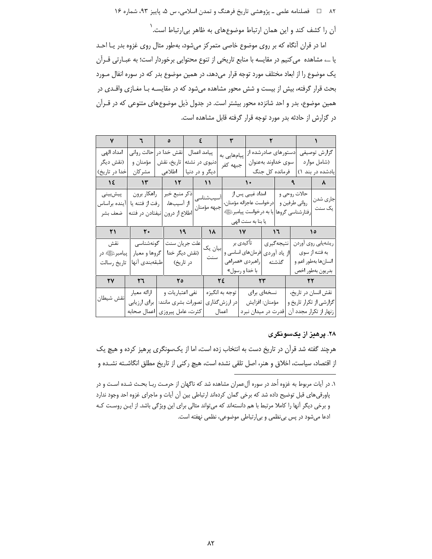۸۲ = 1 فصلنامه علمی ـ پژوهشی تاریخ فرهنگ و تمدن اسلامی، س ۵، پاییز ۹۳، شماره ۱۶

آن را کشف کند و این همان ارتباط موضوعهای به ظاهر بی|رتباط است.<sup>\</sup>

اما در قران آنگاه که بر روی موضوع خاصی متمرکز میشود، بهطور مثال روی غزوه بدر یـا احـد یا …، مشاهده می کنیم در مقایسه با منابع تاریخی از تنوع محتوایی برخوردار است؛ به عبــارتی قــرآن یک موضوع را از ابعاد مختلف مورد توجه قرار میدهد، در همین موضوع بدر که در سوره انفال مـورد بحث قرار گرفته، بیش از بیست و شش محور مشاهده می شود که در مقایسـه بـا مغـازی واقـدی در همین موضوع، بدر و احد شانزده محور بیشتر است. در جدول ذیل موضوعهای متنوعی که در قــرآن در گزارش از حادثه بدر مورد توجه قرار گرفته قابل مشاهده است.

| امداد الهى     | حالت رواني                             | پیامد اعمال  نقش خدا در        |                |                 | پیامهایی به    |                                |                    | دستورهای صادرشده از |                     | گزارش توصيفي            |
|----------------|----------------------------------------|--------------------------------|----------------|-----------------|----------------|--------------------------------|--------------------|---------------------|---------------------|-------------------------|
| (نقش ديگر      | مؤمنان و                               | دنیوی در نشئه   تاریخ، نقش     |                |                 | جبهه كفر       |                                | سوى خداوند بهعنوان |                     |                     | (شامل موارد             |
| خدا در تاريخ)  | مشركان                                 | اطلاعى                         | دیگر و در دنیا |                 |                |                                | فرمانده کل جنگ     |                     |                     | یادشده در بند ۱)        |
| $\lambda$      | $\mathcal{W}$                          | $\mathcal{N}$                  |                | $\sqrt{11}$     |                |                                |                    |                     |                     |                         |
| پیشبینی        |                                        | ذکر منبع خبر   راهکار برون     |                | أسيبشناسى       |                | امداد غیبی پس از               |                    | حالات روحي و        |                     |                         |
| آينده براساس   | رفت از فتنه يا                         | از آسیبها،                     |                | جبهه مؤمنان     |                | درخواست عاجزانه مؤمنان،        |                    | رواني طرفين و       |                     | جاري شدن<br>یک سنت      |
| ضعف بشر        |                                        | اطلاع از درون  نيفتادن در فتنه |                |                 |                | يا به درخواست پيامبرئﷺ         |                    | رفتارشناسي گروها    |                     |                         |
|                |                                        |                                |                |                 |                | یا بنا به سنت الهی             |                    |                     |                     |                         |
| $\mathsf{r}_1$ | $\mathbf{r}$ $\mathbf{r}$ $\mathbf{r}$ | $\overline{19}$                |                | $\lambda$       |                | $\mathcal{N}$                  | ۱٦                 |                     |                     |                         |
| نقش            | گونەشناسى                              | علت جريان سنت                  |                |                 |                | تأكيدي بر                      | نتيجه گيري         |                     |                     | ریشهیابی روی آوردن      |
| پيامبرئالي در  | گروها و معيار                          |                                | (نقش دیگر خدا  | ابیان یک<br>سنت |                | از یاد آوردی  فرمانهای اساسی و |                    |                     |                     | به فتنه از سوی          |
| تاريخ رسالت    | طبقهبندى آنها                          | در تاريخ)                      |                |                 |                | راهبردي «همراهي                | گذشته              |                     |                     | انسانها بهطور اعم و     |
|                |                                        |                                |                |                 |                | با خدا و رسول»                 |                    |                     |                     | بدريون بهطور اخص        |
| $\mathbf{y}$   | $\mathbf{r}$                           | $\mathbf{r}$                   |                |                 | ٢٤             |                                |                    |                     |                     |                         |
|                | ارائه معيار                            | نفي اعتباريات و                |                |                 | توجه به انگیزه |                                | نسخهای برای        |                     | نقش انسان در تاريخ، |                         |
| نقش شيطان      | براي ارزيابي                           | تصورات بشرى مانند:             |                |                 | در ارزشگذاری   |                                | مؤمنان: افزايش     |                     |                     | گزارشی از تکرار تاریخ و |
|                | اعمال صحابه                            | كثرت، عامل پيروزي              |                |                 | اعمال          | قدرت در میدان نبرد             |                    |                     |                     | زنهار از تكرار مجدد آن  |

#### ۲۸. پرهيز از يکسونگری

هرچند گفته شد قرآن در تاریخ دست به انتخاب زده است، اما از یکسونگری پرهیز کرده و هیچ یک از اقتصاد، سیاست، اخلاق و هنر، اصل تلقی نشده است، هیچ رکنی از تاریخ مطلق انگاشـته نشـده و

۱. در آیات مربوط به غزوه اُحد در سوره آلءمران مشاهده شد که ناگهان از حرمت ربـا بحـث شـده اسـت و در پاورقی های قبل توضیح داده شد که برخی گمان کردهاند ارتباطی بین آن آیات و ماجرای غزوه احد وجود ندارد و برخی دیگر آنها را کاملا مرتبط با هم دانستهاند که میتواند مثالی برای این ویژگی باشد. از ایـن روسـت کـه ادعا میشود در پس بی نظمی و بی|رتباطی موضوعی، نظمی نهفته است.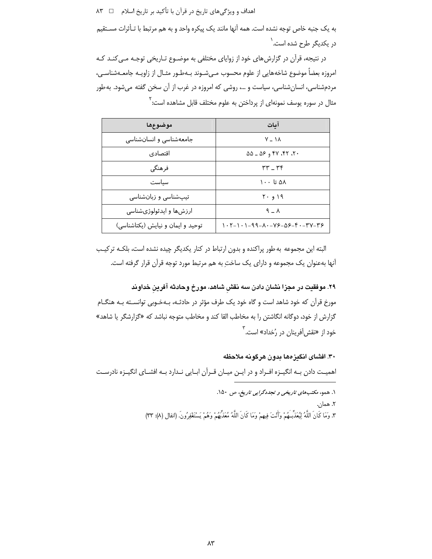اهداف و ویژگیهای تاریخ در قرآن با تأکید بر تاریخ اسلام ۔ □ ۸۳

به یک جنبه خاص توجه نشده است. همه آنها مانند یک پیکره واحد و به هم مرتبط با تـأثرات مسـتقیم در یکدیگر طرح شده اس*ت*.<sup>\</sup>

در نتیجه، قرآن در گزارش های خود از زوایای مختلفی به موضـوع تـاریخی توجـه مـی کنـد کـه امروزه بعضاً موضوع شاخههایی از علوم محسوب مـیشـوند بـهطـور مثـال از زاویـه جامعـهشناسـی، مردمشناسی، انسانشناسی، سیاست و …، روشی که امروزه در غرب از آن سخن گفته میشود. به طور مثال در سوره یوسف نمونهای از پرداختن به علوم مختلف قابل مشاهده است: <sup>۱</sup>

| موضوعها                           | آمات                                                                                                                                                                                                                                                                                                                                                                                                                                                                                                                                  |  |  |  |  |
|-----------------------------------|---------------------------------------------------------------------------------------------------------------------------------------------------------------------------------------------------------------------------------------------------------------------------------------------------------------------------------------------------------------------------------------------------------------------------------------------------------------------------------------------------------------------------------------|--|--|--|--|
| جامعهشناسی و انسان شناسی          | $V - 1A$                                                                                                                                                                                                                                                                                                                                                                                                                                                                                                                              |  |  |  |  |
| اقتصادي                           | $\Delta \Delta = \Delta \xi$ , $\eta$ , $\eta$                                                                                                                                                                                                                                                                                                                                                                                                                                                                                        |  |  |  |  |
| فر هنگی                           | $rr - rr$                                                                                                                                                                                                                                                                                                                                                                                                                                                                                                                             |  |  |  |  |
| سناست                             | ۵۸ تا ۱۰۰                                                                                                                                                                                                                                                                                                                                                                                                                                                                                                                             |  |  |  |  |
| تیپشناسی و زبانشناسی              | ۱۹ و ۲۰                                                                                                                                                                                                                                                                                                                                                                                                                                                                                                                               |  |  |  |  |
| ارزشها و ایدئولوژیشناسی           | $9 - A$                                                                                                                                                                                                                                                                                                                                                                                                                                                                                                                               |  |  |  |  |
| توحید و ایمان و نیایش (یکتاشناسی) | $\backslash \cdot \backslash \cdot \backslash - \backslash \cdot \cdot \mathcal{A} \cdot \mathcal{A} \cdot \mathcal{A} \cdot \mathcal{A} \cdot \mathcal{A} \cdot \mathcal{A} \cdot \mathcal{A} \cdot \mathcal{A} \cdot \mathcal{A} \cdot \mathcal{A} \cdot \mathcal{A} \cdot \mathcal{A} \cdot \mathcal{A} \cdot \mathcal{A} \cdot \mathcal{A} \cdot \mathcal{A} \cdot \mathcal{A} \cdot \mathcal{A} \cdot \mathcal{A} \cdot \mathcal{A} \cdot \mathcal{A} \cdot \mathcal{A} \cdot \mathcal{A} \cdot \mathcal{A} \cdot \mathcal{A} \$ |  |  |  |  |

البته این مجموعه به طور پراکنده و بدون ارتباط در کنار یکدیگر چیده نشده است، بلکـه ترکیـب آنها بهعنوان یک مجموعه و دارای یک ساختِ به هم مرتبط مورد توجه قرآن قرار گرفته است.

۲۹. موفقیت در مجزا نشان دادن سه نقش شاهد، مورخ وحادثه آفرین خداوند مورخ قرآن كه خود شاهد است و گاه خود يک طرف مؤثر در حادثـه، بـهخـوبي توانسـته بـه هنگـام گزارش از خود، دوگانه انگاشتن را به مخاطب القا کند و مخاطب متوجه نباشد که «گزارشگر یا شاهد» خود از «نقشآفرینان در رُخداد» است.<sup>۳</sup>

۳۰. افشای انگیزهها بدون هرگونه ملاحظه اهمیت دادن بـه انگیـزه افـراد و در ایـن میـان قـرآن ابـایی نـدارد بـه افشـای انگیـزه نادرسـت

> ۰۱. همو، مکتبهای تاریخی و تجددگرایی تاریخ، ص ۱۵۰. ٢. همان. ٣. وَمَا كَانَ اللَّهُ لِيُعَذِّبَـهُمْ وَأَنْتَ فِيهِمْ وَمَا كَانَ اللَّهُ مُعَذِّبُهُمْ وَهُمْ يَسْتَغْفِرُونَ. (انفال (٨): ٣٣)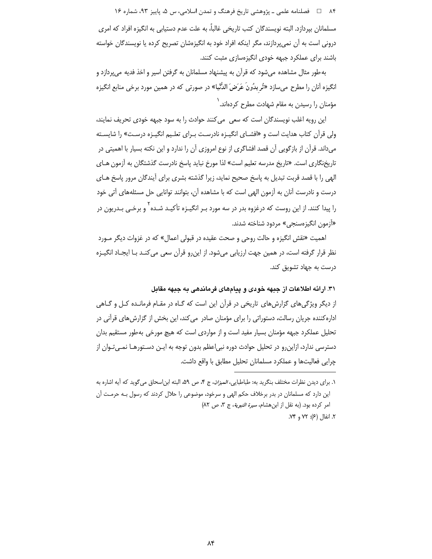۸۴ فصلنامه علمي ــ پژوهشي تاريخ فرهنگ و تمدن اسلامي، س ۵، پاييز ۹۳، شماره ۱۶

مسلمانان بیردازد. البته نویسندگان کتب تاریخی غالباً، به علت عدم دستیابی به انگیزه افراد که امری درونی است به أن نمیپردازند، مگر اینکه افراد خود به انگیزهشان تصریح کرده یا نویسندگان خواسته باشند برای عملکرد جبهه خودی انگیزهسازی مثبت کنند.

به طور مثال مشاهده می شود که قرآن به پیشنهاد مسلمانان به گرفتن اسیر و اخذ فدیه می پردازد و انگیزه آنان را مطرح میسازد «تُرِ یدُونَ عَرَضَ الدُّنْیا» در صورتی که در همین مورد برخی منابع انگیزه مؤمنان را رسیدن به مقام شهادت مطرح کردهاند. ٰ

این رویه اغلب نویسندگان است که سعی ً میکنند حوادث را به سود جبهه خودی تحریف نمایند، ولی قرآن کتاب هدایت است و «افشـای انگیـزه نادرسـت بـرای تعلـیم انگیـزه درسـت» را شایسـته می داند. قرآن از بازگویی آن قصد افشاگری از نوع امروزی آن را ندارد و این نکته بسیار با اهمیتی در تاریخنگاری است. «تاریخ مدرسه تعلیم است» لذا مورخ نباید پاسخ نادرست گذشتگان به آزمون هـای الهی را با قصد قربت تبدیل به پاسخ صحیح نماید، زیرا گذشته بشری برای آیندگان مرور پاسخ هـای درست و نادرست آنان به آزمون الهی است که با مشاهده آن، بتوانند توانایی حل مسئلههای آتی خود را پیدا کنند. از این روست که درغزوه بدر در سه مورد بـر انگیـزه تأکیـد شـده ٰ و برخـی بـدریون در «آزمون انگیزەسنجی» مردود شناخته شدند.

اهمیت «نقش انگیزه و حالت روحی و صحت عقیده در قبولی اعمال» که در غزوات دیگر مـورد نظر قرار گرفته است، در همین جهت ارزیابی میشود. از این٫رو قرآن سعی می کنـد بـا ایجـاد انگیـزه درست به جهاد تشویق کند.

۳۱. ارائه اطلاعات از جبهه خودی و پیامهای فرماندهی به جبهه مقابل

از دیگر ویژگیهای گزارشهای تاریخی در قرآن این است که گـاه در مقـام فرمانـده کـل و گـاهی اداره کننده جریان رسالت، دستوراتی را برای مؤمنان صادر می کند، این بخش از گزارش های قرآنی در تحلیل عملکرد جبهه مؤمنان بسیار مفید است و از مواردی است که هیچ مورخی به طور مستقیم بدان دسترسی ندارد، ازاین٫و در تحلیل حوادث دوره نبی|عظم بدون توجه به ایـن دسـتورهـا نمـیتـوان از چرایی فعالیتها و عملکرد مسلمانان تحلیل مطابق با واقع داشت.

۱. برای دیدن نظرات مختلف بنگرید به: طباطبایی، *المیزان*، ج ۴، ص ۵۹، البته ابن|سحاق میگوید که آیه اشاره به این دارد که مسلمانان در بدر برخلاف حکم الهی و سرخود، موضوعی را حلال کردند که رسول بـه حرمـت آن امر کرده بود. (به نقل از ابن هشام، سيرة النبوية، ج ٣، ص ٨٢) ۲. انفال (۶): ۷۲ و ۷۴.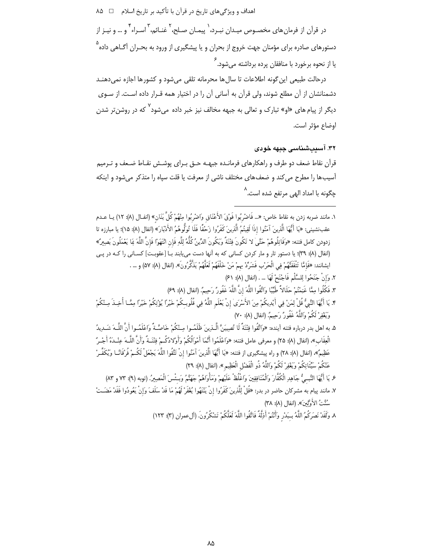اهداف و ویژگیهای تاریخ در قرآن با تأکید بر تاریخ اسلام ⊥ ∆ ۸

در قرآن از فرمان های مخصـوص میـدان نبـرد، ٰ پیمـان صـلح، ِ ٔ غنـائم، ٔ اسـراء ٔ و … و نیـز از دستورها*ی* صادره برای مؤمنان جهت خروج از بحران و یا پیشگیری از ورود به بحـران آگـاهی داده<sup>۵</sup> یا از نحوه برخورد با منافقان پرده برداشته میشود.<sup>۶</sup>

درحالت طبیعی این گونه اطلاعات تا سال ها محرمانه تلقی می شود و کشورها اجازه نمی دهنـد دشمنانشان از آن مطلع شوند، ولی قرآن به آسانی آن را در اختیار همه قـرار داده اسـت. از سـوی دیگر از پیام های «او» تبارک و تعالی به جبهه مخالف نیز خبر داده می شود<sup>۷</sup> که در روشن تر شدن اوضاع مؤثر است.

# ۳۲. آسیبشناسی جبهه خودی

قرأن نقاط ضعف دو طرف و راهکارهای فرمانـده جبهـه حــق بــرای پوشــش نقــاط ضــعف و تــرميم آسیبها را مطرح میکند و ضعفهای مختلف ناشی از معرفت یا قلت سپاه را متذکر میشود و اینکه چگونه با امداد الهی مرتفع شده است.<sup>۸</sup>

- ١. مانند ضربه زدن به نقاط خاص: «... فَاضْرِبُوا فَوْقَ الأَعْنَاقِ وَاضْرِبُوا مِنْهُمْ كُلَّ بَنَان» (انفـال (٨): ١٢) يـا عـدم عقبنشيني: «يَا أَيُّهَا الَّذِينَ آمَنُوا إذَا لَقِيتُمُ الَّذِينَ كَفَرُوا زَحْفًا فَلَا تُوَلُّوهُمُ الأَدْبَارَ» (انفال (٨): ١٥)؛ يا مبارزه تا زدودن كامل فتنه: «وَقَاتِلُوهُمْ حَتَّىٰ لا تَكُونَ فِتْنَةٌ وَيَكُونَ الدِّينُ كُلُّهُ لِلَّهِ فَإِن ائْتَهَوْا فَإِنَّ اللَّهَ بَمَا يَعْمَلُونَ بَصِيرٌ» (انفال (٨): ٣٩)؛ يا دستور تار و مار كردن كساني كه به آنها دست مي يابند بـا [عقوبـت] كســاني را كــه در پــي ايشانند: «فَإِمَّا تَتْقَفَنَّهُمْ فِي الْحَرْبِ فَشَرِّدْ بهمْ مَنْ خَلْفَهُمْ لَعَلَّهُمْ يَذَكَّرُونَ». (انفال (٨): ٥٧) و … . ٢. وَإِنْ جَنَحُوا لِلسَّلْمِ فَاجْنَحْ لَهَا … . (انفال (٨): ٤١)
	- ٣. فَكُلُوا مِمَّا غَنِمْتُمْ حَلَالاً طَيِّبًا وَاتَّقُوا اللَّهَ إِنَّ اللَّهَ غَفُورٌ رَحِيمٌ. (إنفال (٨): ۶۹/
- ۴. يَا أَيُّهَا النَّبِيُّ قُلْ لِمَنْ فِي أَيْدِيكُمْ مِنَ الأَسْرَى ٰ إنْ يَعْلَم اللَّهُ فِي قُلُوبكُمْ خَيْراً يُؤْتِكُمْ خَيْراً مِمَّـا أُخِـذَ مِـنْكُمْ وَيَغْفِرْ لَكُمْ وَاللَّهُ غَفُورٌ رَحِيمٌ. (انفال (٨): ٧٠)
- ۵. به اهل بدر درباره فتنه آينده: «وَاتَّقُوا فتْنَةً لَا تُصِيَنَّ الَّـذِينَ ظَلَمُـوا مـنْكُمْ خَاصَّـةً وَاعْلَمُـوا أَنَّ اللَّـهَ شَـدِيدُ الْعِقَابِ»، (انفال (٨): ٢۵) و معرفي عامل فتنه: «وَاعْلَمُوا أَنَّمَا أَمْوالُكُمْ وَأَوْلادُكُـمْ فتْنَـةُ وَأَنَّ اللَّـهَ عِنْـدَهُ أَجْـرُ عَظِيمٌ»، (انفال (٨): ٢٨) و راه پيشگيرى از فتنه: «يَا أَيُّهَا الَّذِينَ آمَنُوا إنْ تَتَّقُوا اللَّهَ يَجْعَلْ لَكُـمْ فُرْقَانًــا وَيُكَفِّـرْ عَنْكُمْ سَيِّئَاتِكُمْ وَيَغْفِرْ لَكُمْ وَاللَّهُ ذُو الْفَضْلِ الْعَظِيمِ ». (انفال (٨): ٢٩)
- ع يَا أَيُّهَا النَّبِيُّ جَاهِدِ الْكُفَّارَ وَالْمُنَافِقِينَ وَاغْلُظْ عَلَيْهِمْ وَمَأْوَاهُمْ جَهَنَّمُ وَبِئْسَ الْمَصِيرُ. (توبه (٩): ٧٣ و ٨٣) ٧. مانند پیام به مشركان حاضر در بدر: «قُلْ لِلَّذِينَ كَفَرُوا إِنْ يَنْتَهُوا يُغْفَرْ لَهُمْ مَا قَدْ سَلَفَ وَإِنْ يَعُودُوا فَقَدْ مَضَتْ
	- سُنَّتُ الأَوَّلِينَ». (انفال (٨): ٣٨)
	- ٨. وَلَقَدْ نَصَرِكُمُ اللَّهُ بِـبَدْرِ وَأَنْتُمْ أَذِلَّةُ فَاتَّقُوا اللَّهَ لَعَلَّكُمْ تَشْكُرُونَ. (آلءمران (٣): ١٢٣)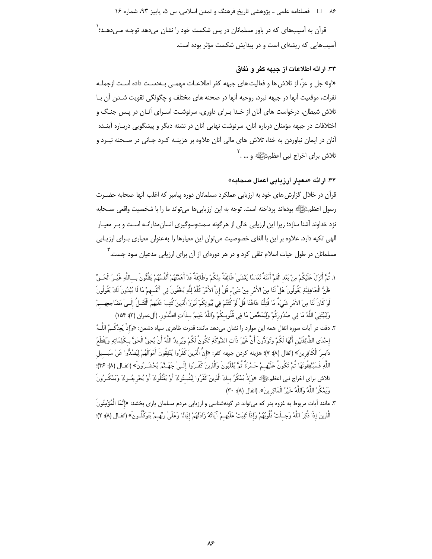۸۶ = فصلنامه علمي ـ پژوهشي تاريخ فرهنگ و تمدن اسلامي، س ۵، پاييز ۹۳، شماره ۱۶

قرآن به آسیبهای که در باور مسلمانان در پس شکست خود را نشان میدهد توجـه مـیدهـد؛ ` آسیبهایی که ریشهای است و در پیدایش شکست مؤثر بوده است.

# ٣٣. ارائه اطلاعات از جبهه كفر و نفاق

«او» جل و عزّ، از تلاش ها و فعالیت های جبهه کفر اطلاعـات مهمـی بـهدسـت داده اسـت ازجملـه نفرات، موقعیت آنها در جبهه نبرد، روحیه آنها در صحنه های مختلف و چگونگی تقویت شـدن آن بـا تلاش شیطان، درخواست های آنان از خـدا بـرای داوری، سرنوشـت اسـرای آنـان در پـس جنـگ و اختلافات در جبهه مؤمنان درباره آنان، سرنوشت نهایی آنان در نشئه دیگر و پیشگویی دربـاره آینـده آنان در ایمان نیاوردن به خدا، تلاش های مالی آنان علاوه بر هزینـه کـرد جـانی در صـحنه نبـرد و تلاش برای اخراج نبی اعظمﷺ و … . <sup>۲</sup>

# ٣۴. از ائه «معبار از زیابی اعمال صحابه»

قرآن در خلال گزارش های خود به ارزیابی عملکرد مسلمانان دوره پیامبر که اغلب آنها صحابه حضـرت رسول اعظم صَّلِيًّا ﴾ بودهاند پرداخته است. توجه به این ارزیابی ها می تواند ما را با شخصیت واقعی صـحابه نزد خداوند آشنا سازد؛ زیرا این ارزیابی خالی از هرگونه سمتوسوگیری انسان مدارانـه اسـت و بـر معیـار الهی تکیه دارد. علاوه بر این با الغای خصوصیت می توان این معیارها را به عنوان معیاری بـرای ارزیـابی مسلمانان در طول حیات اسلام تلقی کرد و در هر دورهای از آن برای ارزیابی مدعیان سود جست. <sup>۲</sup>

- ١. ثُمَّ أَنْزِلَ عَلَيْكُمْ مِنْ بَعْد الْغَمِّ أَمَنَةً نُعَاسًا يَغْشَىٰ طَائِفَةً مِنْكُمْ وَطَائِفَةً قَدْ أَهَمَّتْهُمْ أَنْفُسُهُمْ يَظُنُّونَ بِساللَّهِ غَيْـرَ الْحَـقِّ ظَنَّ الْجَاهِلِيَّةِ يَقُولُونَ هَلْ لَنَا مِنَ الأَمْرِ مِنْ شَيْءٍ قُلْ إِنَّ الأَمْرَ كُلَّهُ لِلَّهِ يُخْفُونَ فِي أَنْفُسهِمْ مَا لَا يُبْدُونَ لَكَ يَقُولُونَ لَوْ كَانَ لَنَا مِنَ الأَمْرِ شَيْءٌ مَا قُتِلْنَا هَاهُنَا قُلْ لَوْ كُنْتُمْ فِي بُيُوتِكُمْ لَبَرَزَ الَّذِينَ كُتِبَ عَلَيْهِمُ الْقَتْـلُ إِلَـىٰ مَضَاجعِهِــمْ وَلِيَبْتَلِيَ اللَّهُ مَا فِي صُدُوركُمْ وَلِيُمَحِّصَ مَا فِي قُلُوبِكُمْ وَاللَّهُ عَلِيمٌ بِـذَاتِ الصُّدُور. (ألءهران (٣): ١۵۴)
- ۲. دقت در آیات سوره انفال همه این موارد را نشان میدهد مانند: قدرت ظاهری سپاه دشمن: «وَإذْ يَعِدُكُـمُ اللَّــهُ إحْدَى الطَّائِفَتَيْنِ أَنَّهَا لَكُمْ وَتَوَدُّونَ أَنَّ غَيْرَ ذَات الشَّوْكَةِ تَكُونُ لَكُمْ وَيُريدُ اللَّهُ أَنْ يُحِقَّ الْحَقَّ بِكَلِمَاتِهِ وَيَقْطَعَ دَابِـرَ الْكَافِرِينَ» (انفال (٨): ٧)؛ هزينه كردن جبهه كفر: «إنَّ الَّذِينَ كَفَرُوا يُنْفِقُونَ أَمْوالَهُمْ لِيَصُدُّوا عَنْ سَبـــيل اللَّهِ فَسَيُنْفِقُونَهَا ثُمَّ تَكُونُ عَلَيْهِمْ حَسْرَةً ثُمَّ يُغْلَبُونَ وَالَّذِينَ كَفَـرُوا إلَـىٰ جَهَــنَّمَ يُحْشَـرُونَ» (انفـال (٨): ٣۶)؛ تلاش براي اخراج نبي اعظمﷺ «وَإِذْ يَمْكُرُ بِـكَ الَّذِينَ كَفَرُوا لِيُثْبِـتُوكَ أَوْ يَقْتُلُوكَ أَوْ يُخْرِجُـوكَ وَيَمْكُـرُونَ وَيَمْكُرُ ٱللَّهُ وَاللَّهُ خَيْرُ الْمَاكِرِ بِنَ». (انفال (٨): ٣٠)
- ٣. مانند آیات مربوط به غزوه بدر که می تواند در گونهشناسی و ارزیابی مردم مسلمان پاری بخشد: «إِنَّمَا الْمُؤْمِنُونَ الَّذِينَ إذَا ذُكِرَ اللَّهُ وَجِـلَتْ قُلُوبُهُمْ وَإذَا تُلِيَتْ عَلَيْهِـمْ آيَاتُهُ زَادَتْهُمْ إِيمَانًا وَعَلَىٰ ربِّهِـمْ يَتَوكَّلُـونَ» (انفـال (٨): ٢)؛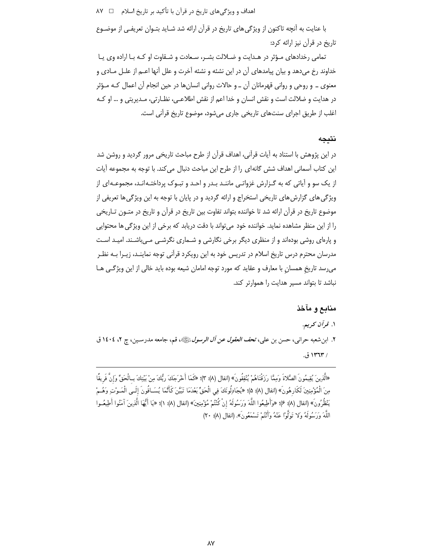اهداف و ویژگیهای تاریخ در قرآن با تأکید بر تاریخ اسلام □ ۸۷

با عنایت به آنچه تاکنون از ویژگی های تاریخ در قرآن ارائه شد شـاید بتـوان تعریفـی از موضـوع تاریخ در قرآن نیز ارائه کرد:

تمامی رخدادهای مـؤثر در هـدایت و ضـلالت بشـر، سـعادت و شـقاوت او کـه بـا اراده وی یـا خداوند رخ میدهد و بیان پیامدهای آن در این نشئه و نشئه آخرت و علل آنها اعــم از علــل مــادی و معنوی ـ و روحی و روانی قهرمانان آن ـ و حالات روانی انسان۱۵ در حین انجام آن اعمال کـه مـؤثر در هدايت و ضلالت است و نقش انسان و خدا اعم از نقش اطلاعـي، نظـارتي، مـديريتي و … او كـه اغلب از طريق اجراي سنتهاي تاريخي جاري مي شود، موضوع تاريخ قرآني است.

#### نتىجە

در این پژوهش با استناد به آیات قرآنی، اهداف قرآن از طرح مباحث تاریخی مرور گردید و روشن شد این کتاب آسمانی اهداف شش گانهای را از طرح این مباحث دنبال می کند. با توجه به مجموعه آیات از یک سو و آیاتی که به گـزارش غزواتـی ماننـد بـدر و احـد و تبـوک پرداختـه|نـد، مجموعـه|ی از ویژگیِ های گزارش های تاریخی استخراج و ارائه گردید و در پایان با توجه به این ویژگیِ ها تعریفی از موضوع تاریخ در قرآن ارائه شد تا خواننده بتواند تفاوت بین تاریخ در قرآن و تاریخ در متـون تـاریخی را از این منظر مشاهده نماید. خواننده خود می تواند با دقت دریابد که برخی از این ویژگی ها محتوایی و پارهای روشی بودهاند و از منظری دیگر برخی نگارشی و شــماری نگرشــی مــی،اشــند. امیــد اسـت مدرسان محترم درس تاریخ اسلام در تدریس خود به این رویکرد قرآنی توجه نماینـد، زیـرا بـه نظـر می رسد تاریخ همسان با معارف و عقاید که مورد توجه امامان شیعه بوده باید خالی از این ویژگی هـا نباشد تا بتواند مسیر هدایت را هموارتر کند.

#### منابع و مآخذ

۱. قرآن کریم. ۲. ابن شعبه حرانبي، حسن بن علي، ت*حف العقول عن آل الرسول ﷺ*، قم، جامعه مدرسـين، چ ۲، ١٤٠٤ ق / ١٣٦٣ ق.

«الَّذِينَ يُقِيمُونَ الصَّلاةَ وَمِمَّا رَزَقْنَاهُمْ يُنْفِقُونَ» (انفال (٨): ٣)؛ «كَمَا أَخْرَجَكَ ربُّكَ مِنْ بَيْتِكَ بِـالْحَقِّ وَإِنَّ فَرِيقًا مِنَ الْمُؤْمِنِينَ لَكَارِهُونَ» (انفال (٨): ۵)؛ «يُجَادِلُونَكَ فِي الْحَقِّ بَعْدَمَا تَبَيَّنَ كَأَنَّمَا يُسَـاقُونَ إِلَـى الْمَـوْتِ وَهُـمْ يَنْظُرُونَ» (انفال (٨): ٤)؛ «وَأَطِيعُوا اللَّهَ وَرَسُولَهُ إنْ كُنْتُمْ مُؤْمِنِينَ» (انفال (٨): ١)؛ «يَا أَيُّهَا الَّذِينَ آمَنُوا أَطِيعُـوا اللَّهَ وَرَسُولَهُ وَلا تَوَلَّوْا عَنْهُ وَأَنْتُمْ تَسْمَعُونَ». (انفال (٨): ٢٠)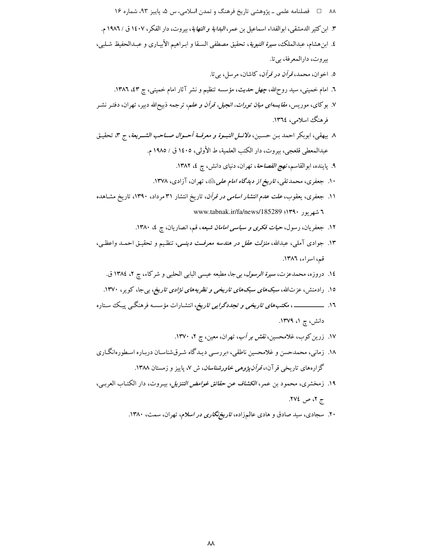- ۱۷. زرین کوب، غلامحسین، *نقش بر آب*، تهران، معین، چ ۲، ۱۳۷۰.
- ۱۸. زمانی، محمدحسن و غلامحسین ناطقی، «بررسـی دیـدگاه شـرقشناسـان دربـاره اسـطورهانگـاری گزارههای تاریخی قرآن»، *قرآن پژوهی خاورشناسان*، ش ۷، پاییز و زمستان ۱۳۸۸.
- ۱۹. زمخشري، محمود بن عمر، *الكشاف عن حقائق غوامض التنزيل*، بيـروت، دار الكتـاب العربـي، ج ۲، ص ۲۷٤.
	- ۲۰. سجادی، سید صادق و هادی عالمزاده، *تاریخنگاری در اسلام*، تهران، سمت، ۱۳۸۰.